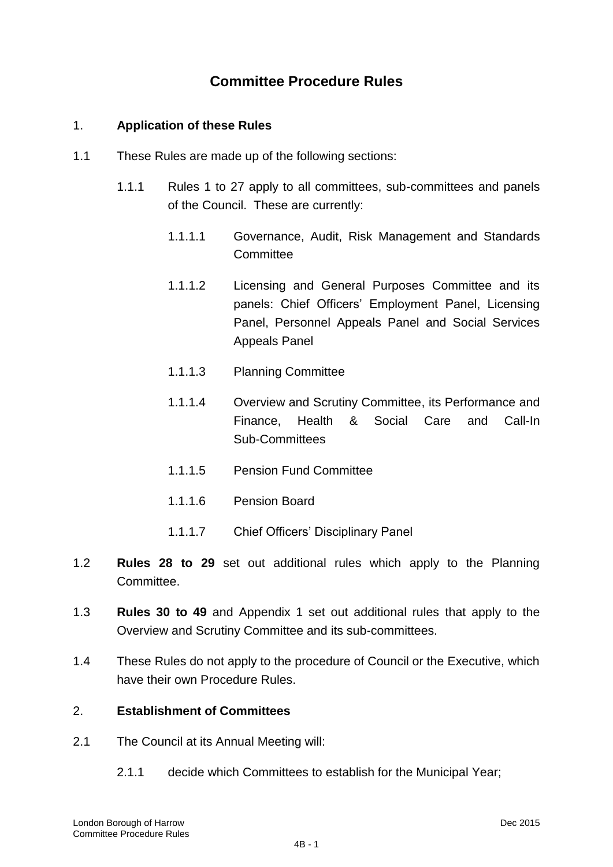# **Committee Procedure Rules**

## 1. **Application of these Rules**

- 1.1 These Rules are made up of the following sections:
	- 1.1.1 Rules 1 to 27 apply to all committees, sub-committees and panels of the Council. These are currently:
		- 1.1.1.1 Governance, Audit, Risk Management and Standards **Committee**
		- 1.1.1.2 Licensing and General Purposes Committee and its panels: Chief Officers' Employment Panel, Licensing Panel, Personnel Appeals Panel and Social Services Appeals Panel
		- 1.1.1.3 Planning Committee
		- 1.1.1.4 Overview and Scrutiny Committee, its Performance and Finance, Health & Social Care and Call-In Sub-Committees
		- 1.1.1.5 Pension Fund Committee
		- 1.1.1.6 Pension Board
		- 1.1.1.7 Chief Officers" Disciplinary Panel
- 1.2 **Rules 28 to 29** set out additional rules which apply to the Planning Committee.
- 1.3 **Rules 30 to 49** and Appendix 1 set out additional rules that apply to the Overview and Scrutiny Committee and its sub-committees.
- 1.4 These Rules do not apply to the procedure of Council or the Executive, which have their own Procedure Rules.

## 2. **Establishment of Committees**

- 2.1 The Council at its Annual Meeting will:
	- 2.1.1 decide which Committees to establish for the Municipal Year;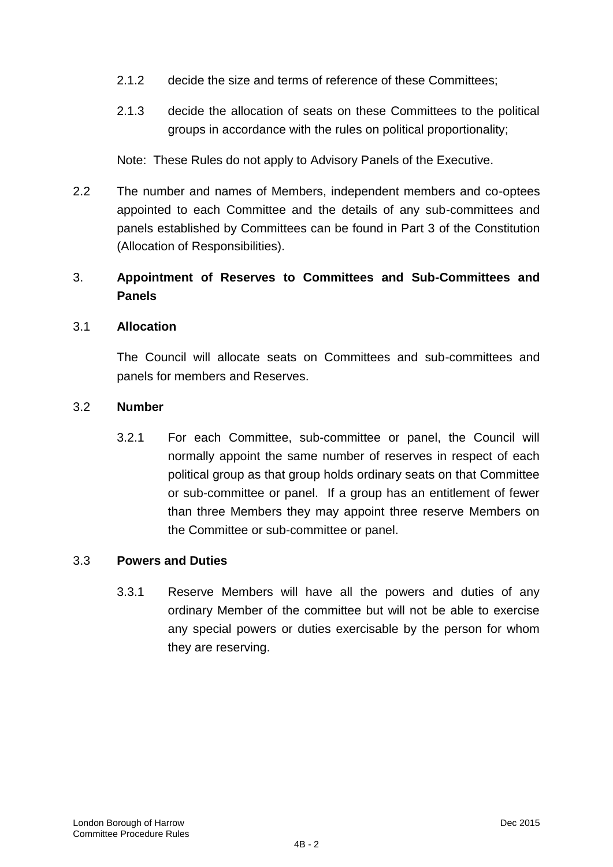- 2.1.2 decide the size and terms of reference of these Committees;
- 2.1.3 decide the allocation of seats on these Committees to the political groups in accordance with the rules on political proportionality;

Note: These Rules do not apply to Advisory Panels of the Executive.

2.2 The number and names of Members, independent members and co-optees appointed to each Committee and the details of any sub-committees and panels established by Committees can be found in Part 3 of the Constitution (Allocation of Responsibilities).

# 3. **Appointment of Reserves to Committees and Sub-Committees and Panels**

## 3.1 **Allocation**

The Council will allocate seats on Committees and sub-committees and panels for members and Reserves.

#### 3.2 **Number**

3.2.1 For each Committee, sub-committee or panel, the Council will normally appoint the same number of reserves in respect of each political group as that group holds ordinary seats on that Committee or sub-committee or panel. If a group has an entitlement of fewer than three Members they may appoint three reserve Members on the Committee or sub-committee or panel.

## 3.3 **Powers and Duties**

3.3.1 Reserve Members will have all the powers and duties of any ordinary Member of the committee but will not be able to exercise any special powers or duties exercisable by the person for whom they are reserving.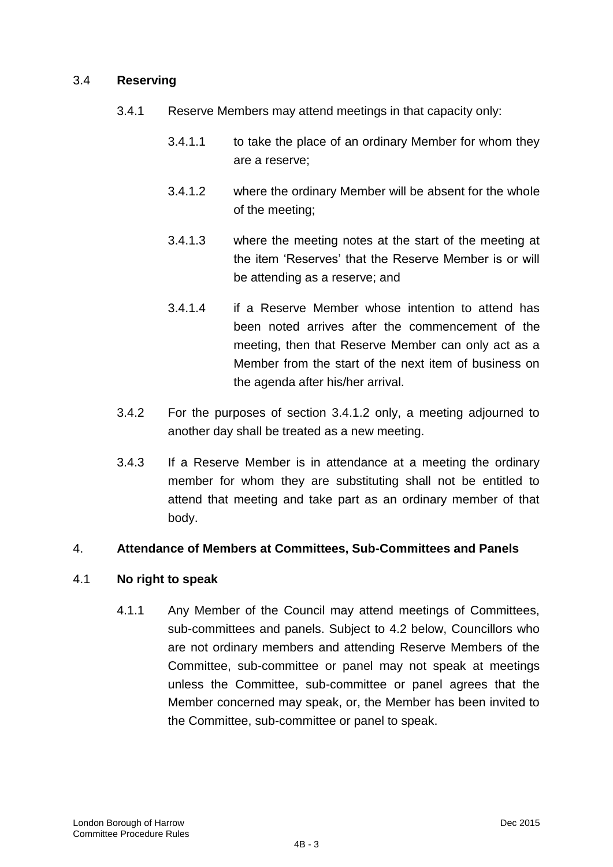## 3.4 **Reserving**

- 3.4.1 Reserve Members may attend meetings in that capacity only:
	- 3.4.1.1 to take the place of an ordinary Member for whom they are a reserve;
	- 3.4.1.2 where the ordinary Member will be absent for the whole of the meeting;
	- 3.4.1.3 where the meeting notes at the start of the meeting at the item "Reserves" that the Reserve Member is or will be attending as a reserve; and
	- 3.4.1.4 if a Reserve Member whose intention to attend has been noted arrives after the commencement of the meeting, then that Reserve Member can only act as a Member from the start of the next item of business on the agenda after his/her arrival.
- 3.4.2 For the purposes of section 3.4.1.2 only, a meeting adjourned to another day shall be treated as a new meeting.
- 3.4.3 If a Reserve Member is in attendance at a meeting the ordinary member for whom they are substituting shall not be entitled to attend that meeting and take part as an ordinary member of that body.

# 4. **Attendance of Members at Committees, Sub-Committees and Panels**

## 4.1 **No right to speak**

4.1.1 Any Member of the Council may attend meetings of Committees, sub-committees and panels. Subject to 4.2 below, Councillors who are not ordinary members and attending Reserve Members of the Committee, sub-committee or panel may not speak at meetings unless the Committee, sub-committee or panel agrees that the Member concerned may speak, or, the Member has been invited to the Committee, sub-committee or panel to speak.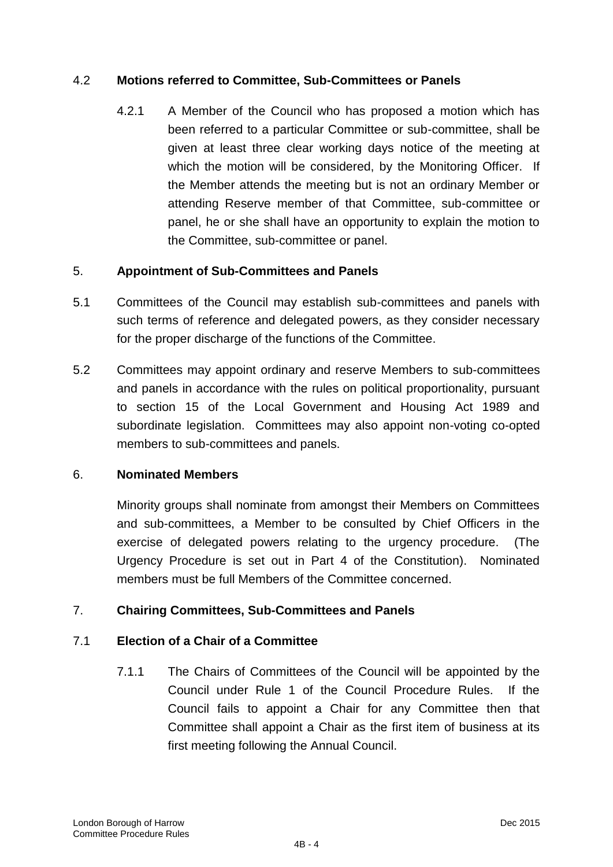# 4.2 **Motions referred to Committee, Sub-Committees or Panels**

4.2.1 A Member of the Council who has proposed a motion which has been referred to a particular Committee or sub-committee, shall be given at least three clear working days notice of the meeting at which the motion will be considered, by the Monitoring Officer. If the Member attends the meeting but is not an ordinary Member or attending Reserve member of that Committee, sub-committee or panel, he or she shall have an opportunity to explain the motion to the Committee, sub-committee or panel.

## 5. **Appointment of Sub-Committees and Panels**

- 5.1 Committees of the Council may establish sub-committees and panels with such terms of reference and delegated powers, as they consider necessary for the proper discharge of the functions of the Committee.
- 5.2 Committees may appoint ordinary and reserve Members to sub-committees and panels in accordance with the rules on political proportionality, pursuant to section 15 of the Local Government and Housing Act 1989 and subordinate legislation. Committees may also appoint non-voting co-opted members to sub-committees and panels.

## 6. **Nominated Members**

Minority groups shall nominate from amongst their Members on Committees and sub-committees, a Member to be consulted by Chief Officers in the exercise of delegated powers relating to the urgency procedure. (The Urgency Procedure is set out in Part 4 of the Constitution). Nominated members must be full Members of the Committee concerned.

# 7. **Chairing Committees, Sub-Committees and Panels**

# 7.1 **Election of a Chair of a Committee**

7.1.1 The Chairs of Committees of the Council will be appointed by the Council under Rule 1 of the Council Procedure Rules. If the Council fails to appoint a Chair for any Committee then that Committee shall appoint a Chair as the first item of business at its first meeting following the Annual Council.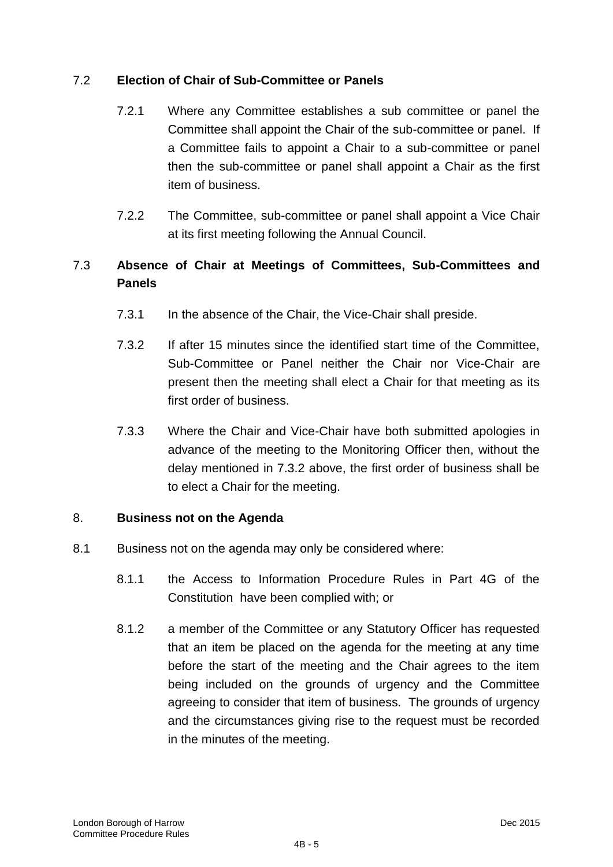# 7.2 **Election of Chair of Sub-Committee or Panels**

- 7.2.1 Where any Committee establishes a sub committee or panel the Committee shall appoint the Chair of the sub-committee or panel. If a Committee fails to appoint a Chair to a sub-committee or panel then the sub-committee or panel shall appoint a Chair as the first item of business.
- 7.2.2 The Committee, sub-committee or panel shall appoint a Vice Chair at its first meeting following the Annual Council.

# 7.3 **Absence of Chair at Meetings of Committees, Sub-Committees and Panels**

- 7.3.1 In the absence of the Chair, the Vice-Chair shall preside.
- 7.3.2 If after 15 minutes since the identified start time of the Committee, Sub-Committee or Panel neither the Chair nor Vice-Chair are present then the meeting shall elect a Chair for that meeting as its first order of business.
- 7.3.3 Where the Chair and Vice-Chair have both submitted apologies in advance of the meeting to the Monitoring Officer then, without the delay mentioned in 7.3.2 above, the first order of business shall be to elect a Chair for the meeting.

# 8. **Business not on the Agenda**

- 8.1 Business not on the agenda may only be considered where:
	- 8.1.1 the Access to Information Procedure Rules in Part 4G of the Constitution have been complied with; or
	- 8.1.2 a member of the Committee or any Statutory Officer has requested that an item be placed on the agenda for the meeting at any time before the start of the meeting and the Chair agrees to the item being included on the grounds of urgency and the Committee agreeing to consider that item of business. The grounds of urgency and the circumstances giving rise to the request must be recorded in the minutes of the meeting.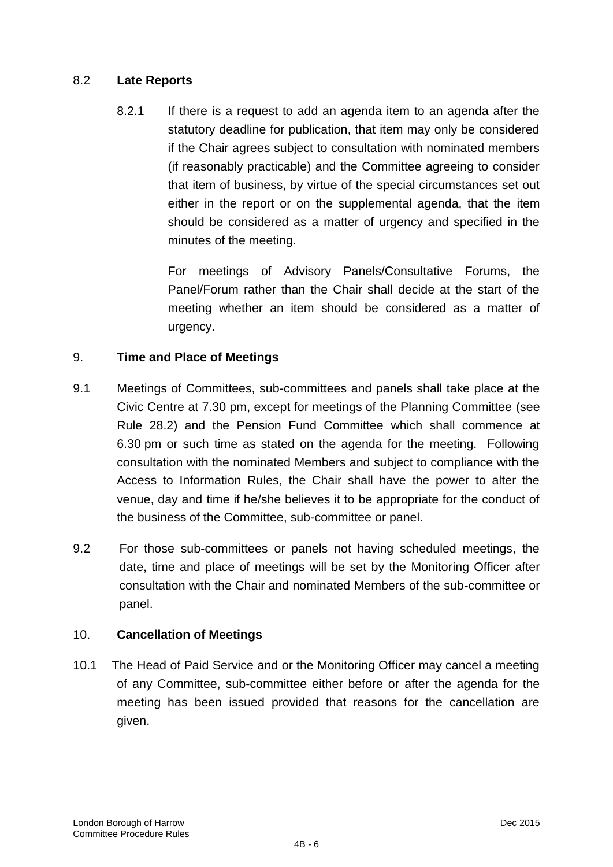# 8.2 **Late Reports**

8.2.1 If there is a request to add an agenda item to an agenda after the statutory deadline for publication, that item may only be considered if the Chair agrees subject to consultation with nominated members (if reasonably practicable) and the Committee agreeing to consider that item of business, by virtue of the special circumstances set out either in the report or on the supplemental agenda, that the item should be considered as a matter of urgency and specified in the minutes of the meeting.

> For meetings of Advisory Panels/Consultative Forums, the Panel/Forum rather than the Chair shall decide at the start of the meeting whether an item should be considered as a matter of urgency.

# 9. **Time and Place of Meetings**

- 9.1 Meetings of Committees, sub-committees and panels shall take place at the Civic Centre at 7.30 pm, except for meetings of the Planning Committee (see Rule 28.2) and the Pension Fund Committee which shall commence at 6.30 pm or such time as stated on the agenda for the meeting. Following consultation with the nominated Members and subject to compliance with the Access to Information Rules, the Chair shall have the power to alter the venue, day and time if he/she believes it to be appropriate for the conduct of the business of the Committee, sub-committee or panel.
- 9.2 For those sub-committees or panels not having scheduled meetings, the date, time and place of meetings will be set by the Monitoring Officer after consultation with the Chair and nominated Members of the sub-committee or panel.

# 10. **Cancellation of Meetings**

10.1 The Head of Paid Service and or the Monitoring Officer may cancel a meeting of any Committee, sub-committee either before or after the agenda for the meeting has been issued provided that reasons for the cancellation are given.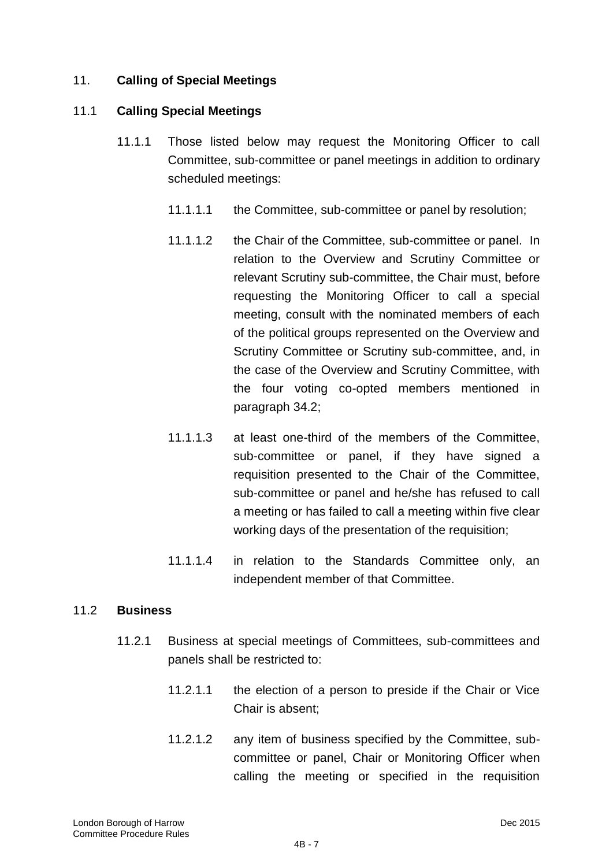# 11. **Calling of Special Meetings**

## 11.1 **Calling Special Meetings**

- 11.1.1 Those listed below may request the Monitoring Officer to call Committee, sub-committee or panel meetings in addition to ordinary scheduled meetings:
	- 11.1.1.1 the Committee, sub-committee or panel by resolution;
	- 11.1.1.2 the Chair of the Committee, sub-committee or panel. In relation to the Overview and Scrutiny Committee or relevant Scrutiny sub-committee, the Chair must, before requesting the Monitoring Officer to call a special meeting, consult with the nominated members of each of the political groups represented on the Overview and Scrutiny Committee or Scrutiny sub-committee, and, in the case of the Overview and Scrutiny Committee, with the four voting co-opted members mentioned in paragraph 34.2;
	- 11.1.1.3 at least one-third of the members of the Committee, sub-committee or panel, if they have signed a requisition presented to the Chair of the Committee, sub-committee or panel and he/she has refused to call a meeting or has failed to call a meeting within five clear working days of the presentation of the requisition;
	- 11.1.1.4 in relation to the Standards Committee only, an independent member of that Committee.

## 11.2 **Business**

- 11.2.1 Business at special meetings of Committees, sub-committees and panels shall be restricted to:
	- 11.2.1.1 the election of a person to preside if the Chair or Vice Chair is absent;
	- 11.2.1.2 any item of business specified by the Committee, subcommittee or panel, Chair or Monitoring Officer when calling the meeting or specified in the requisition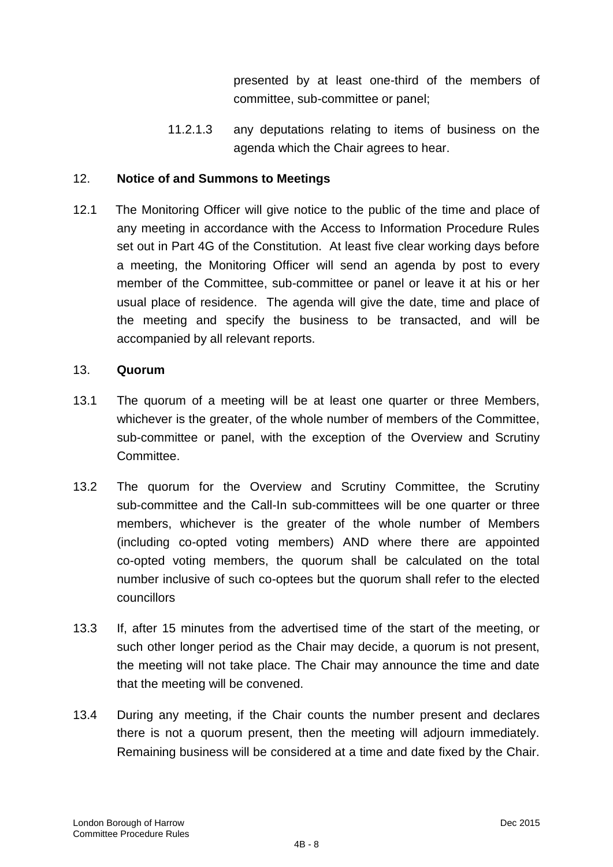presented by at least one-third of the members of committee, sub-committee or panel;

11.2.1.3 any deputations relating to items of business on the agenda which the Chair agrees to hear.

## 12. **Notice of and Summons to Meetings**

12.1 The Monitoring Officer will give notice to the public of the time and place of any meeting in accordance with the Access to Information Procedure Rules set out in Part 4G of the Constitution. At least five clear working days before a meeting, the Monitoring Officer will send an agenda by post to every member of the Committee, sub-committee or panel or leave it at his or her usual place of residence. The agenda will give the date, time and place of the meeting and specify the business to be transacted, and will be accompanied by all relevant reports.

## 13. **Quorum**

- 13.1 The quorum of a meeting will be at least one quarter or three Members, whichever is the greater, of the whole number of members of the Committee, sub-committee or panel, with the exception of the Overview and Scrutiny Committee.
- 13.2 The quorum for the Overview and Scrutiny Committee, the Scrutiny sub-committee and the Call-In sub-committees will be one quarter or three members, whichever is the greater of the whole number of Members (including co-opted voting members) AND where there are appointed co-opted voting members, the quorum shall be calculated on the total number inclusive of such co-optees but the quorum shall refer to the elected councillors
- 13.3 If, after 15 minutes from the advertised time of the start of the meeting, or such other longer period as the Chair may decide, a quorum is not present, the meeting will not take place. The Chair may announce the time and date that the meeting will be convened.
- 13.4 During any meeting, if the Chair counts the number present and declares there is not a quorum present, then the meeting will adjourn immediately. Remaining business will be considered at a time and date fixed by the Chair.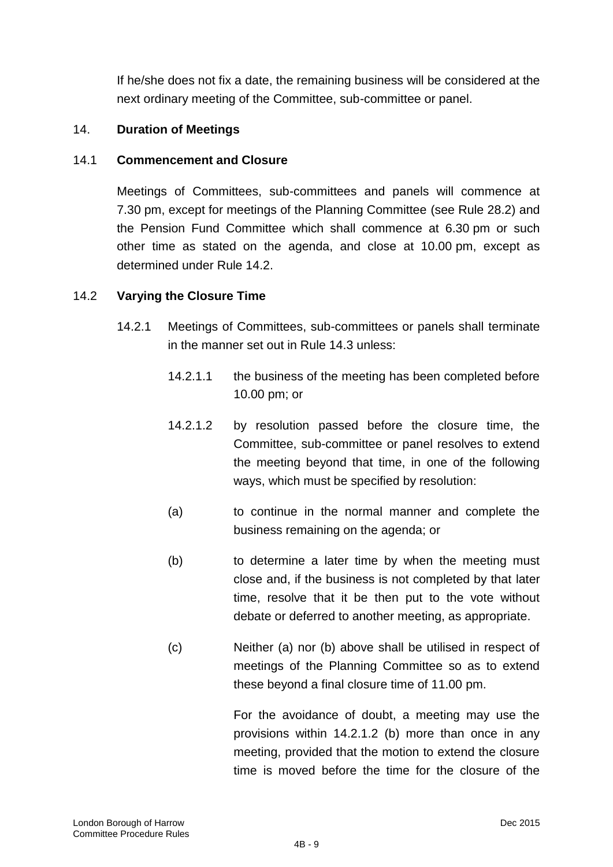If he/she does not fix a date, the remaining business will be considered at the next ordinary meeting of the Committee, sub-committee or panel.

# 14. **Duration of Meetings**

## 14.1 **Commencement and Closure**

Meetings of Committees, sub-committees and panels will commence at 7.30 pm, except for meetings of the Planning Committee (see Rule 28.2) and the Pension Fund Committee which shall commence at 6.30 pm or such other time as stated on the agenda, and close at 10.00 pm, except as determined under Rule 14.2.

## 14.2 **Varying the Closure Time**

- 14.2.1 Meetings of Committees, sub-committees or panels shall terminate in the manner set out in Rule 14.3 unless:
	- 14.2.1.1 the business of the meeting has been completed before 10.00 pm; or
	- 14.2.1.2 by resolution passed before the closure time, the Committee, sub-committee or panel resolves to extend the meeting beyond that time, in one of the following ways, which must be specified by resolution:
	- (a) to continue in the normal manner and complete the business remaining on the agenda; or
	- (b) to determine a later time by when the meeting must close and, if the business is not completed by that later time, resolve that it be then put to the vote without debate or deferred to another meeting, as appropriate.
	- (c) Neither (a) nor (b) above shall be utilised in respect of meetings of the Planning Committee so as to extend these beyond a final closure time of 11.00 pm.

For the avoidance of doubt, a meeting may use the provisions within 14.2.1.2 (b) more than once in any meeting, provided that the motion to extend the closure time is moved before the time for the closure of the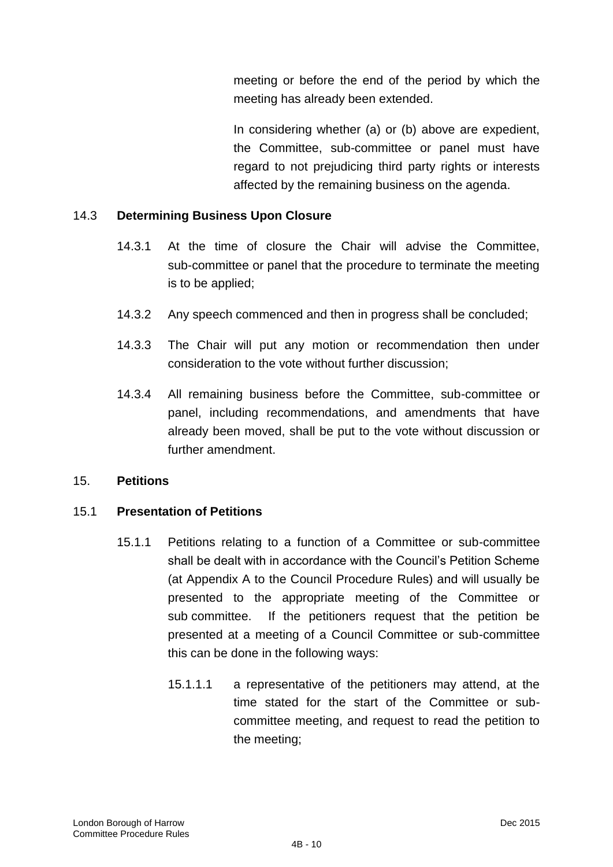meeting or before the end of the period by which the meeting has already been extended.

In considering whether (a) or (b) above are expedient, the Committee, sub-committee or panel must have regard to not prejudicing third party rights or interests affected by the remaining business on the agenda.

# 14.3 **Determining Business Upon Closure**

- 14.3.1 At the time of closure the Chair will advise the Committee, sub-committee or panel that the procedure to terminate the meeting is to be applied;
- 14.3.2 Any speech commenced and then in progress shall be concluded;
- 14.3.3 The Chair will put any motion or recommendation then under consideration to the vote without further discussion;
- 14.3.4 All remaining business before the Committee, sub-committee or panel, including recommendations, and amendments that have already been moved, shall be put to the vote without discussion or further amendment.

## 15. **Petitions**

## 15.1 **Presentation of Petitions**

- 15.1.1 Petitions relating to a function of a Committee or sub-committee shall be dealt with in accordance with the Council"s Petition Scheme (at Appendix A to the Council Procedure Rules) and will usually be presented to the appropriate meeting of the Committee or sub committee. If the petitioners request that the petition be presented at a meeting of a Council Committee or sub-committee this can be done in the following ways:
	- 15.1.1.1 a representative of the petitioners may attend, at the time stated for the start of the Committee or subcommittee meeting, and request to read the petition to the meeting;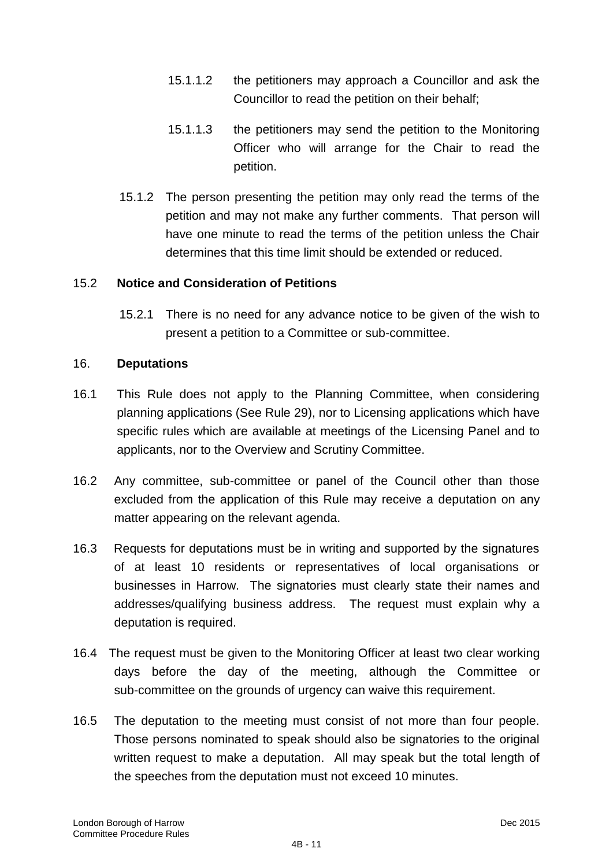- 15.1.1.2 the petitioners may approach a Councillor and ask the Councillor to read the petition on their behalf;
- 15.1.1.3 the petitioners may send the petition to the Monitoring Officer who will arrange for the Chair to read the petition.
- 15.1.2 The person presenting the petition may only read the terms of the petition and may not make any further comments. That person will have one minute to read the terms of the petition unless the Chair determines that this time limit should be extended or reduced.

## 15.2 **Notice and Consideration of Petitions**

15.2.1 There is no need for any advance notice to be given of the wish to present a petition to a Committee or sub-committee.

## 16. **Deputations**

- 16.1 This Rule does not apply to the Planning Committee, when considering planning applications (See Rule 29), nor to Licensing applications which have specific rules which are available at meetings of the Licensing Panel and to applicants, nor to the Overview and Scrutiny Committee.
- 16.2 Any committee, sub-committee or panel of the Council other than those excluded from the application of this Rule may receive a deputation on any matter appearing on the relevant agenda.
- 16.3 Requests for deputations must be in writing and supported by the signatures of at least 10 residents or representatives of local organisations or businesses in Harrow. The signatories must clearly state their names and addresses/qualifying business address. The request must explain why a deputation is required.
- 16.4 The request must be given to the Monitoring Officer at least two clear working days before the day of the meeting, although the Committee or sub-committee on the grounds of urgency can waive this requirement.
- 16.5 The deputation to the meeting must consist of not more than four people. Those persons nominated to speak should also be signatories to the original written request to make a deputation.All may speak but the total length of the speeches from the deputation must not exceed 10 minutes.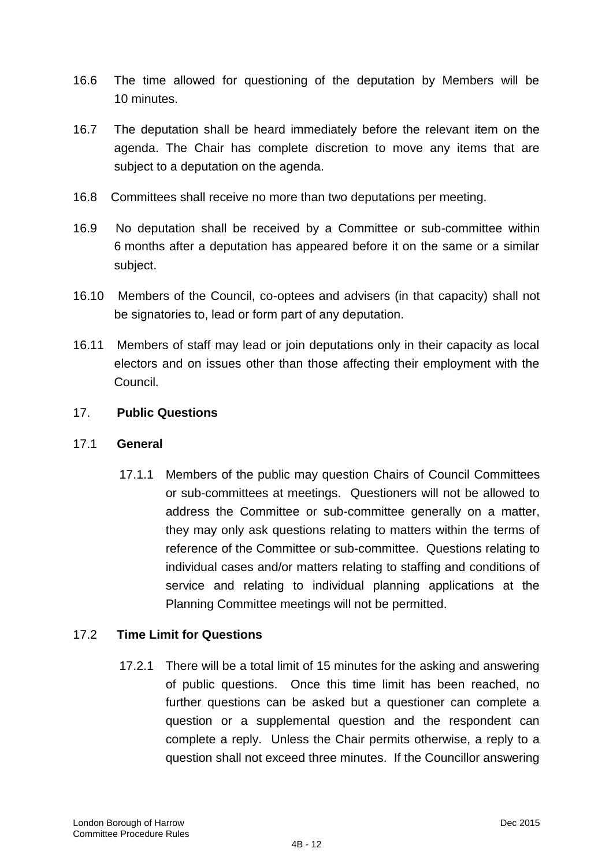- 16.6 The time allowed for questioning of the deputation by Members will be 10 minutes.
- 16.7 The deputation shall be heard immediately before the relevant item on the agenda. The Chair has complete discretion to move any items that are subject to a deputation on the agenda.
- 16.8 Committees shall receive no more than two deputations per meeting.
- 16.9 No deputation shall be received by a Committee or sub-committee within 6 months after a deputation has appeared before it on the same or a similar subject.
- 16.10 Members of the Council, co-optees and advisers (in that capacity) shall not be signatories to, lead or form part of any deputation.
- 16.11 Members of staff may lead or join deputations only in their capacity as local electors and on issues other than those affecting their employment with the Council.

## 17. **Public Questions**

## 17.1 **General**

17.1.1 Members of the public may question Chairs of Council Committees or sub-committees at meetings. Questioners will not be allowed to address the Committee or sub-committee generally on a matter, they may only ask questions relating to matters within the terms of reference of the Committee or sub-committee. Questions relating to individual cases and/or matters relating to staffing and conditions of service and relating to individual planning applications at the Planning Committee meetings will not be permitted.

## 17.2 **Time Limit for Questions**

17.2.1 There will be a total limit of 15 minutes for the asking and answering of public questions. Once this time limit has been reached, no further questions can be asked but a questioner can complete a question or a supplemental question and the respondent can complete a reply. Unless the Chair permits otherwise, a reply to a question shall not exceed three minutes. If the Councillor answering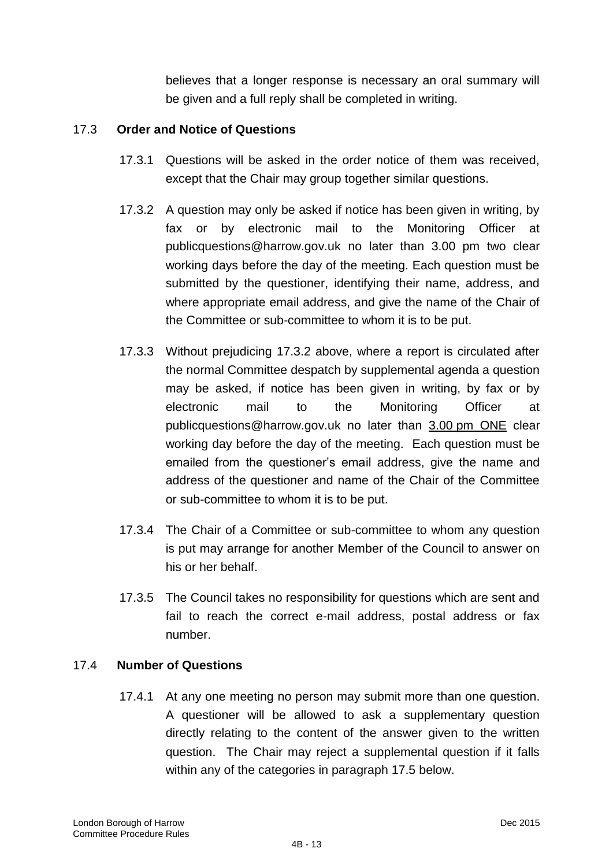believes that a longer response is necessary an oral summary will be given and a full reply shall be completed in writing.

# 17.3 **Order and Notice of Questions**

- 17.3.1 Questions will be asked in the order notice of them was received, except that the Chair may group together similar questions.
- 17.3.2 A question may only be asked if notice has been given in writing, by fax or by electronic mail to the Monitoring Officer at publicquestions@harrow.gov.uk no later than 3.00 pm two clear working days before the day of the meeting. Each question must be submitted by the questioner, identifying their name, address, and where appropriate email address, and give the name of the Chair of the Committee or sub-committee to whom it is to be put.
- 17.3.3 Without prejudicing 17.3.2 above, where a report is circulated after the normal Committee despatch by supplemental agenda a question may be asked, if notice has been given in writing, by fax or by electronic mail to the Monitoring Officer at publicquestions@harrow.gov.uk no later than 3.00 pm ONE clear working day before the day of the meeting. Each question must be emailed from the questioner's email address, give the name and address of the questioner and name of the Chair of the Committee or sub-committee to whom it is to be put.
- 17.3.4 The Chair of a Committee or sub-committee to whom any question is put may arrange for another Member of the Council to answer on his or her behalf.
- 17.3.5 The Council takes no responsibility for questions which are sent and fail to reach the correct e-mail address, postal address or fax number.

## 17.4 **Number of Questions**

17.4.1 At any one meeting no person may submit more than one question. A questioner will be allowed to ask a supplementary question directly relating to the content of the answer given to the written question. The Chair may reject a supplemental question if it falls within any of the categories in paragraph 17.5 below.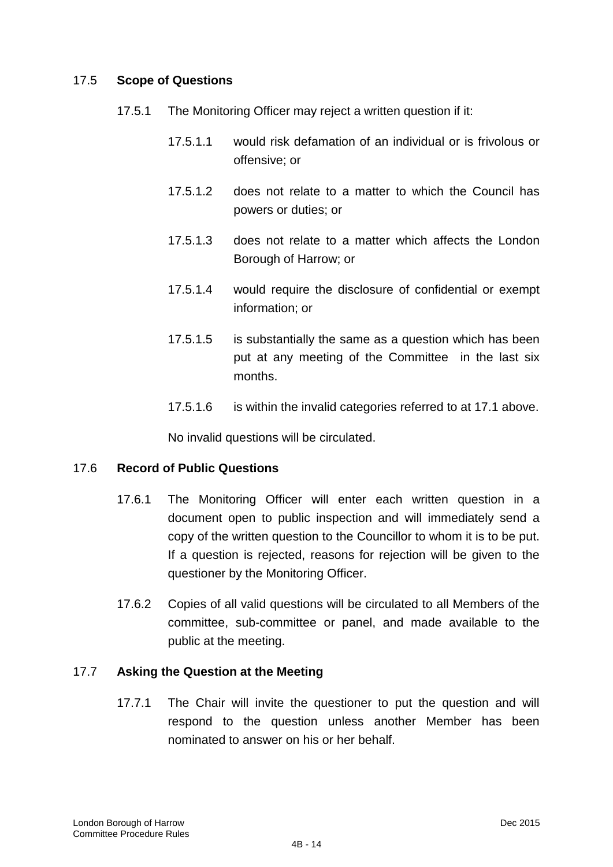## 17.5 **Scope of Questions**

- 17.5.1 The Monitoring Officer may reject a written question if it:
	- 17.5.1.1 would risk defamation of an individual or is frivolous or offensive; or
	- 17.5.1.2 does not relate to a matter to which the Council has powers or duties; or
	- 17.5.1.3 does not relate to a matter which affects the London Borough of Harrow; or
	- 17.5.1.4 would require the disclosure of confidential or exempt information; or
	- 17.5.1.5 is substantially the same as a question which has been put at any meeting of the Committee in the last six months.
	- 17.5.1.6 is within the invalid categories referred to at 17.1 above.

No invalid questions will be circulated.

# 17.6 **Record of Public Questions**

- 17.6.1 The Monitoring Officer will enter each written question in a document open to public inspection and will immediately send a copy of the written question to the Councillor to whom it is to be put. If a question is rejected, reasons for rejection will be given to the questioner by the Monitoring Officer.
- 17.6.2 Copies of all valid questions will be circulated to all Members of the committee, sub-committee or panel, and made available to the public at the meeting.

## 17.7 **Asking the Question at the Meeting**

17.7.1 The Chair will invite the questioner to put the question and will respond to the question unless another Member has been nominated to answer on his or her behalf.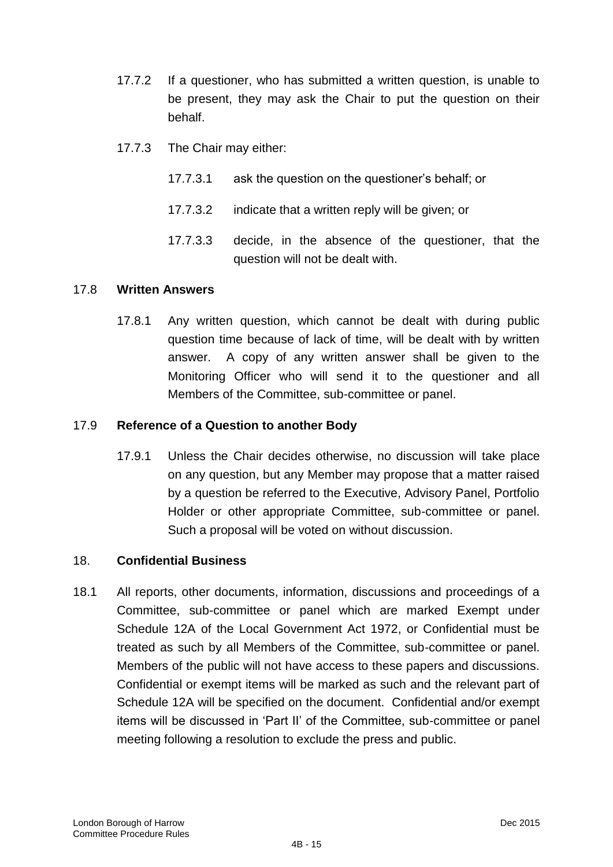- 17.7.2 If a questioner, who has submitted a written question, is unable to be present, they may ask the Chair to put the question on their behalf.
- 17.7.3 The Chair may either:
	- 17.7.3.1 ask the question on the questioner"s behalf; or
	- 17.7.3.2 indicate that a written reply will be given; or
	- 17.7.3.3 decide, in the absence of the questioner, that the question will not be dealt with.

# 17.8 **Written Answers**

17.8.1 Any written question, which cannot be dealt with during public question time because of lack of time, will be dealt with by written answer. A copy of any written answer shall be given to the Monitoring Officer who will send it to the questioner and all Members of the Committee, sub-committee or panel.

## 17.9 **Reference of a Question to another Body**

17.9.1 Unless the Chair decides otherwise, no discussion will take place on any question, but any Member may propose that a matter raised by a question be referred to the Executive, Advisory Panel, Portfolio Holder or other appropriate Committee, sub-committee or panel. Such a proposal will be voted on without discussion.

# 18. **Confidential Business**

18.1 All reports, other documents, information, discussions and proceedings of a Committee, sub-committee or panel which are marked Exempt under Schedule 12A of the Local Government Act 1972, or Confidential must be treated as such by all Members of the Committee, sub-committee or panel. Members of the public will not have access to these papers and discussions. Confidential or exempt items will be marked as such and the relevant part of Schedule 12A will be specified on the document. Confidential and/or exempt items will be discussed in "Part II" of the Committee, sub-committee or panel meeting following a resolution to exclude the press and public.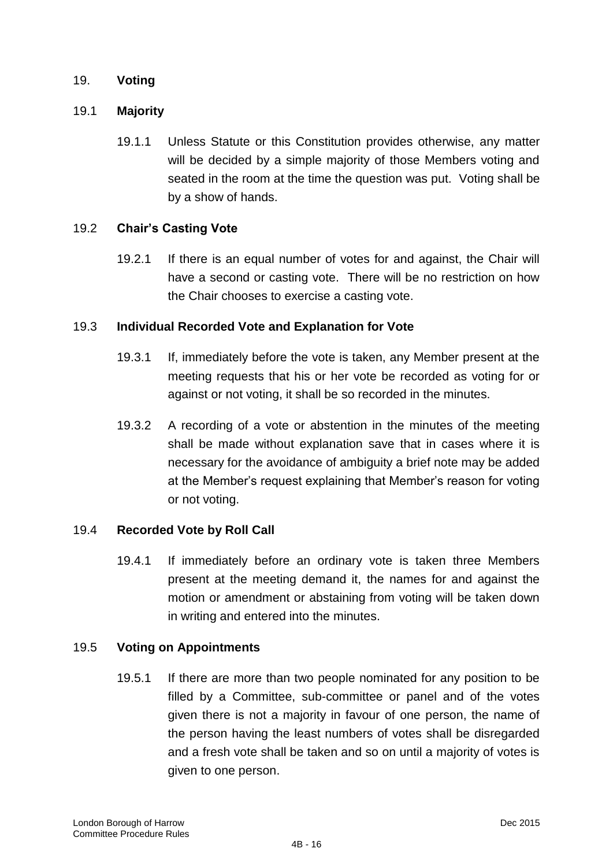## 19. **Voting**

## 19.1 **Majority**

19.1.1 Unless Statute or this Constitution provides otherwise, any matter will be decided by a simple majority of those Members voting and seated in the room at the time the question was put. Voting shall be by a show of hands.

## 19.2 **Chair's Casting Vote**

19.2.1 If there is an equal number of votes for and against, the Chair will have a second or casting vote. There will be no restriction on how the Chair chooses to exercise a casting vote.

## 19.3 **Individual Recorded Vote and Explanation for Vote**

- 19.3.1 If, immediately before the vote is taken, any Member present at the meeting requests that his or her vote be recorded as voting for or against or not voting, it shall be so recorded in the minutes.
- 19.3.2 A recording of a vote or abstention in the minutes of the meeting shall be made without explanation save that in cases where it is necessary for the avoidance of ambiguity a brief note may be added at the Member"s request explaining that Member"s reason for voting or not voting.

# 19.4 **Recorded Vote by Roll Call**

19.4.1 If immediately before an ordinary vote is taken three Members present at the meeting demand it, the names for and against the motion or amendment or abstaining from voting will be taken down in writing and entered into the minutes.

## 19.5 **Voting on Appointments**

19.5.1 If there are more than two people nominated for any position to be filled by a Committee, sub-committee or panel and of the votes given there is not a majority in favour of one person, the name of the person having the least numbers of votes shall be disregarded and a fresh vote shall be taken and so on until a majority of votes is given to one person.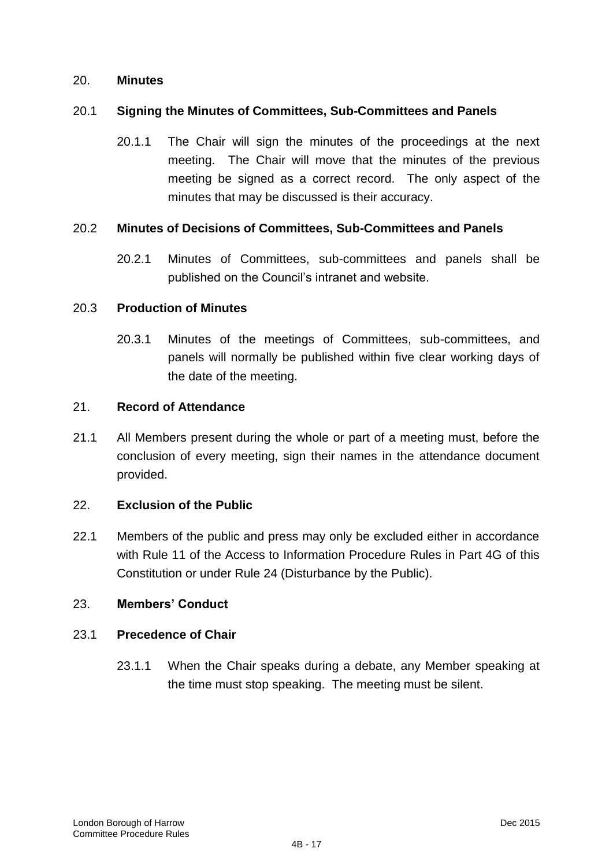#### 20. **Minutes**

#### 20.1 **Signing the Minutes of Committees, Sub-Committees and Panels**

20.1.1 The Chair will sign the minutes of the proceedings at the next meeting. The Chair will move that the minutes of the previous meeting be signed as a correct record. The only aspect of the minutes that may be discussed is their accuracy.

#### 20.2 **Minutes of Decisions of Committees, Sub-Committees and Panels**

20.2.1 Minutes of Committees, sub-committees and panels shall be published on the Council"s intranet and website.

#### 20.3 **Production of Minutes**

20.3.1 Minutes of the meetings of Committees, sub-committees, and panels will normally be published within five clear working days of the date of the meeting.

#### 21. **Record of Attendance**

21.1 All Members present during the whole or part of a meeting must, before the conclusion of every meeting, sign their names in the attendance document provided.

## 22. **Exclusion of the Public**

22.1 Members of the public and press may only be excluded either in accordance with Rule 11 of the Access to Information Procedure Rules in Part 4G of this Constitution or under Rule 24 (Disturbance by the Public).

## 23. **Members' Conduct**

#### 23.1 **Precedence of Chair**

23.1.1 When the Chair speaks during a debate, any Member speaking at the time must stop speaking. The meeting must be silent.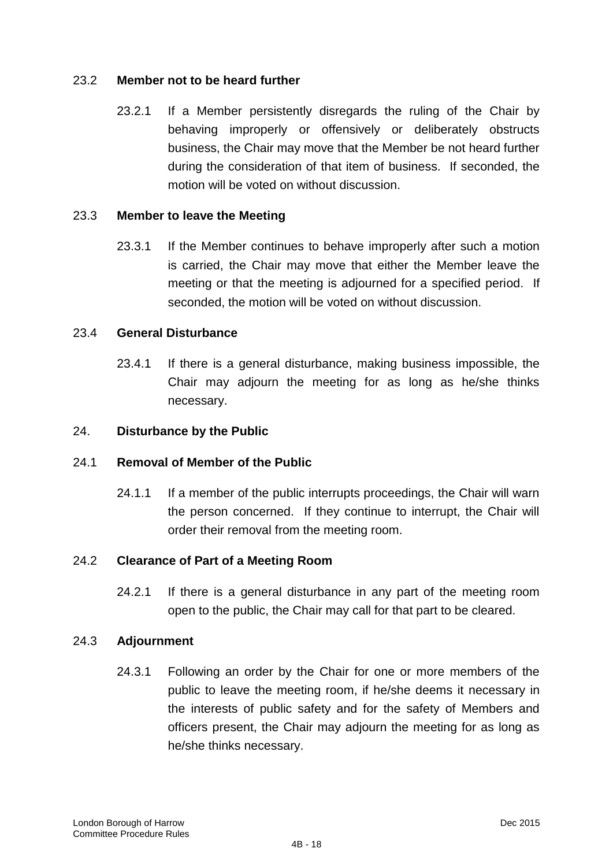# 23.2 **Member not to be heard further**

23.2.1 If a Member persistently disregards the ruling of the Chair by behaving improperly or offensively or deliberately obstructs business, the Chair may move that the Member be not heard further during the consideration of that item of business. If seconded, the motion will be voted on without discussion.

# 23.3 **Member to leave the Meeting**

23.3.1 If the Member continues to behave improperly after such a motion is carried, the Chair may move that either the Member leave the meeting or that the meeting is adjourned for a specified period. If seconded, the motion will be voted on without discussion.

## 23.4 **General Disturbance**

23.4.1 If there is a general disturbance, making business impossible, the Chair may adjourn the meeting for as long as he/she thinks necessary.

## 24. **Disturbance by the Public**

## 24.1 **Removal of Member of the Public**

24.1.1 If a member of the public interrupts proceedings, the Chair will warn the person concerned. If they continue to interrupt, the Chair will order their removal from the meeting room.

## 24.2 **Clearance of Part of a Meeting Room**

24.2.1 If there is a general disturbance in any part of the meeting room open to the public, the Chair may call for that part to be cleared.

## 24.3 **Adjournment**

24.3.1 Following an order by the Chair for one or more members of the public to leave the meeting room, if he/she deems it necessary in the interests of public safety and for the safety of Members and officers present, the Chair may adjourn the meeting for as long as he/she thinks necessary.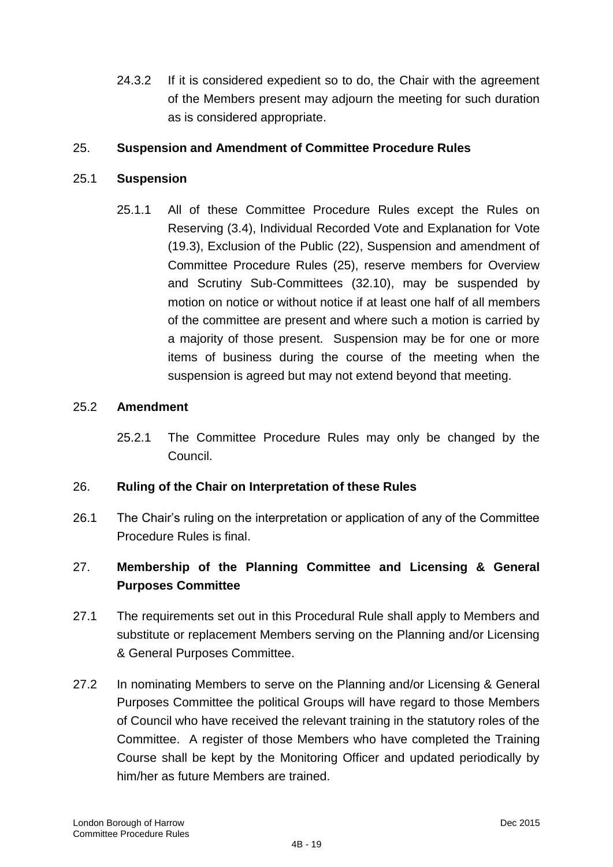24.3.2 If it is considered expedient so to do, the Chair with the agreement of the Members present may adjourn the meeting for such duration as is considered appropriate.

# 25. **Suspension and Amendment of Committee Procedure Rules**

# 25.1 **Suspension**

25.1.1 All of these Committee Procedure Rules except the Rules on Reserving (3.4), Individual Recorded Vote and Explanation for Vote (19.3), Exclusion of the Public (22), Suspension and amendment of Committee Procedure Rules (25), reserve members for Overview and Scrutiny Sub-Committees (32.10), may be suspended by motion on notice or without notice if at least one half of all members of the committee are present and where such a motion is carried by a majority of those present. Suspension may be for one or more items of business during the course of the meeting when the suspension is agreed but may not extend beyond that meeting.

## 25.2 **Amendment**

25.2.1 The Committee Procedure Rules may only be changed by the Council.

# 26. **Ruling of the Chair on Interpretation of these Rules**

26.1 The Chair"s ruling on the interpretation or application of any of the Committee Procedure Rules is final.

# 27. **Membership of the Planning Committee and Licensing & General Purposes Committee**

- 27.1 The requirements set out in this Procedural Rule shall apply to Members and substitute or replacement Members serving on the Planning and/or Licensing & General Purposes Committee.
- 27.2 In nominating Members to serve on the Planning and/or Licensing & General Purposes Committee the political Groups will have regard to those Members of Council who have received the relevant training in the statutory roles of the Committee. A register of those Members who have completed the Training Course shall be kept by the Monitoring Officer and updated periodically by him/her as future Members are trained.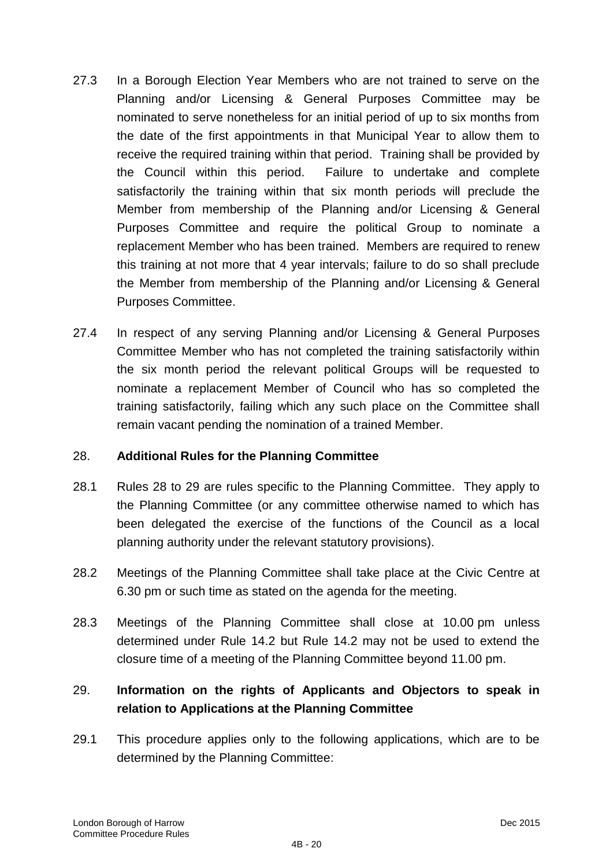- 27.3 In a Borough Election Year Members who are not trained to serve on the Planning and/or Licensing & General Purposes Committee may be nominated to serve nonetheless for an initial period of up to six months from the date of the first appointments in that Municipal Year to allow them to receive the required training within that period. Training shall be provided by the Council within this period. Failure to undertake and complete satisfactorily the training within that six month periods will preclude the Member from membership of the Planning and/or Licensing & General Purposes Committee and require the political Group to nominate a replacement Member who has been trained. Members are required to renew this training at not more that 4 year intervals; failure to do so shall preclude the Member from membership of the Planning and/or Licensing & General Purposes Committee.
- 27.4 In respect of any serving Planning and/or Licensing & General Purposes Committee Member who has not completed the training satisfactorily within the six month period the relevant political Groups will be requested to nominate a replacement Member of Council who has so completed the training satisfactorily, failing which any such place on the Committee shall remain vacant pending the nomination of a trained Member.

# 28. **Additional Rules for the Planning Committee**

- 28.1 Rules 28 to 29 are rules specific to the Planning Committee. They apply to the Planning Committee (or any committee otherwise named to which has been delegated the exercise of the functions of the Council as a local planning authority under the relevant statutory provisions).
- 28.2 Meetings of the Planning Committee shall take place at the Civic Centre at 6.30 pm or such time as stated on the agenda for the meeting.
- 28.3 Meetings of the Planning Committee shall close at 10.00 pm unless determined under Rule 14.2 but Rule 14.2 may not be used to extend the closure time of a meeting of the Planning Committee beyond 11.00 pm.

# 29. **Information on the rights of Applicants and Objectors to speak in relation to Applications at the Planning Committee**

29.1 This procedure applies only to the following applications, which are to be determined by the Planning Committee: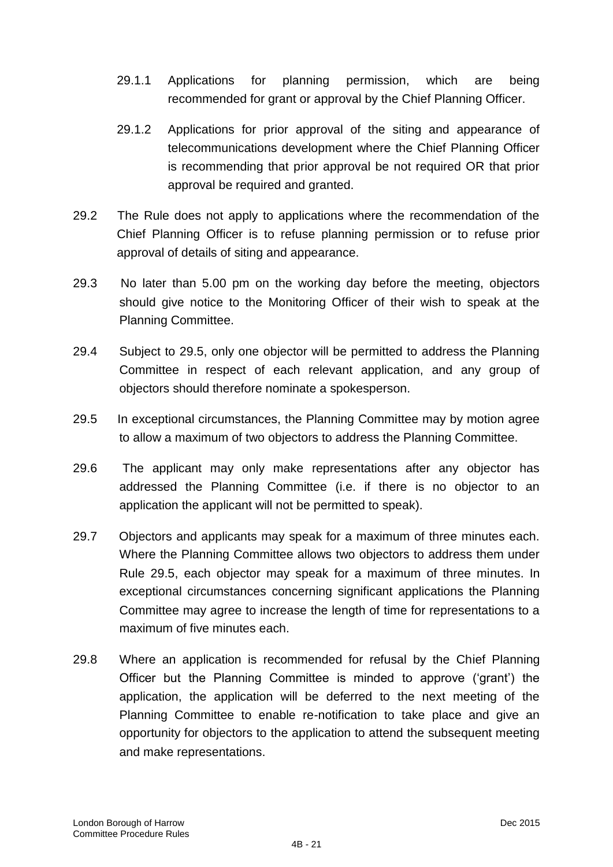- 29.1.1 Applications for planning permission, which are being recommended for grant or approval by the Chief Planning Officer.
- 29.1.2 Applications for prior approval of the siting and appearance of telecommunications development where the Chief Planning Officer is recommending that prior approval be not required OR that prior approval be required and granted.
- 29.2 The Rule does not apply to applications where the recommendation of the Chief Planning Officer is to refuse planning permission or to refuse prior approval of details of siting and appearance.
- 29.3 No later than 5.00 pm on the working day before the meeting, objectors should give notice to the Monitoring Officer of their wish to speak at the Planning Committee.
- 29.4 Subject to 29.5, only one objector will be permitted to address the Planning Committee in respect of each relevant application, and any group of objectors should therefore nominate a spokesperson.
- 29.5 In exceptional circumstances, the Planning Committee may by motion agree to allow a maximum of two objectors to address the Planning Committee.
- 29.6 The applicant may only make representations after any objector has addressed the Planning Committee (i.e. if there is no objector to an application the applicant will not be permitted to speak).
- 29.7 Objectors and applicants may speak for a maximum of three minutes each. Where the Planning Committee allows two objectors to address them under Rule 29.5, each objector may speak for a maximum of three minutes. In exceptional circumstances concerning significant applications the Planning Committee may agree to increase the length of time for representations to a maximum of five minutes each.
- 29.8 Where an application is recommended for refusal by the Chief Planning Officer but the Planning Committee is minded to approve ("grant") the application, the application will be deferred to the next meeting of the Planning Committee to enable re-notification to take place and give an opportunity for objectors to the application to attend the subsequent meeting and make representations.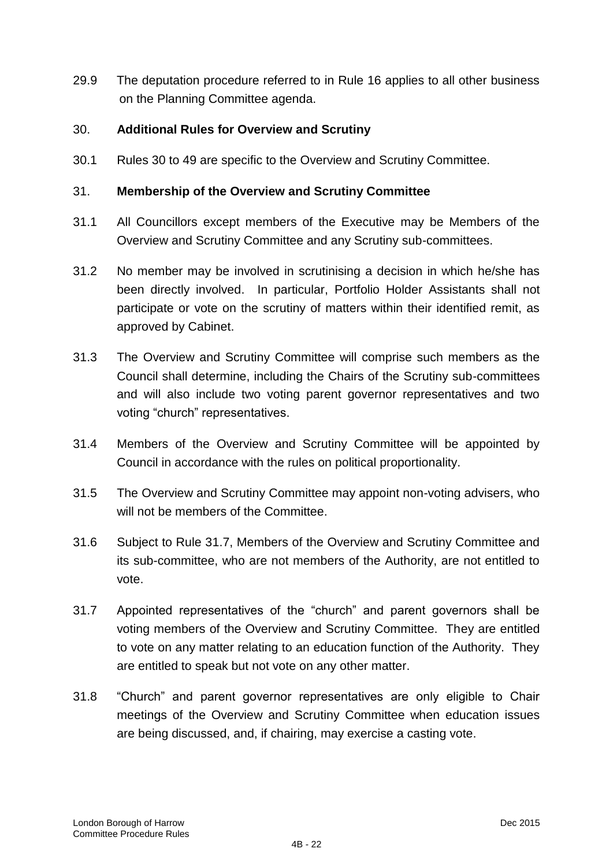29.9 The deputation procedure referred to in Rule 16 applies to all other business on the Planning Committee agenda.

## 30. **Additional Rules for Overview and Scrutiny**

30.1 Rules 30 to 49 are specific to the Overview and Scrutiny Committee.

## 31. **Membership of the Overview and Scrutiny Committee**

- 31.1 All Councillors except members of the Executive may be Members of the Overview and Scrutiny Committee and any Scrutiny sub-committees.
- 31.2 No member may be involved in scrutinising a decision in which he/she has been directly involved. In particular, Portfolio Holder Assistants shall not participate or vote on the scrutiny of matters within their identified remit, as approved by Cabinet.
- 31.3 The Overview and Scrutiny Committee will comprise such members as the Council shall determine, including the Chairs of the Scrutiny sub-committees and will also include two voting parent governor representatives and two voting "church" representatives.
- 31.4 Members of the Overview and Scrutiny Committee will be appointed by Council in accordance with the rules on political proportionality.
- 31.5 The Overview and Scrutiny Committee may appoint non-voting advisers, who will not be members of the Committee.
- 31.6 Subject to Rule 31.7, Members of the Overview and Scrutiny Committee and its sub-committee, who are not members of the Authority, are not entitled to vote.
- 31.7 Appointed representatives of the "church" and parent governors shall be voting members of the Overview and Scrutiny Committee. They are entitled to vote on any matter relating to an education function of the Authority. They are entitled to speak but not vote on any other matter.
- 31.8 "Church" and parent governor representatives are only eligible to Chair meetings of the Overview and Scrutiny Committee when education issues are being discussed, and, if chairing, may exercise a casting vote.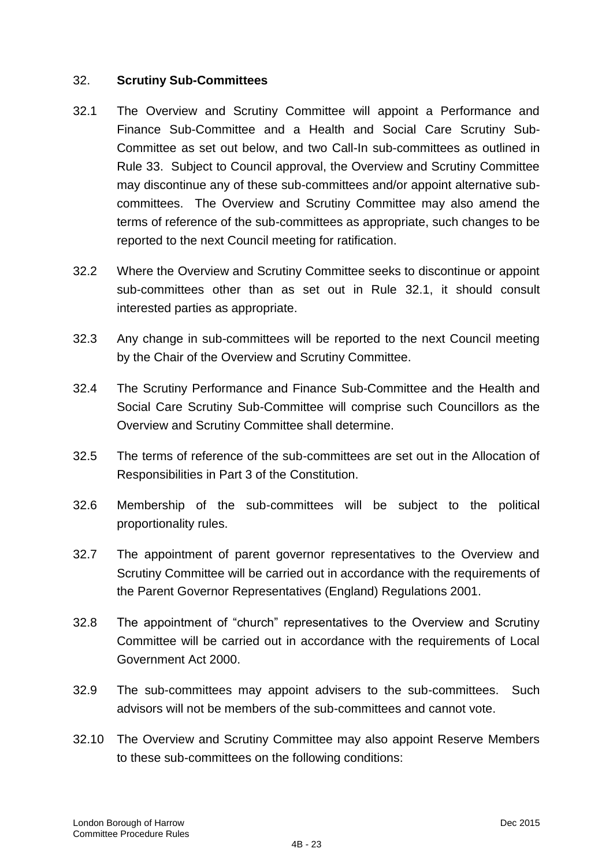## 32. **Scrutiny Sub-Committees**

- 32.1 The Overview and Scrutiny Committee will appoint a Performance and Finance Sub-Committee and a Health and Social Care Scrutiny Sub-Committee as set out below, and two Call-In sub-committees as outlined in Rule 33. Subject to Council approval, the Overview and Scrutiny Committee may discontinue any of these sub-committees and/or appoint alternative subcommittees. The Overview and Scrutiny Committee may also amend the terms of reference of the sub-committees as appropriate, such changes to be reported to the next Council meeting for ratification.
- 32.2 Where the Overview and Scrutiny Committee seeks to discontinue or appoint sub-committees other than as set out in Rule 32.1, it should consult interested parties as appropriate.
- 32.3 Any change in sub-committees will be reported to the next Council meeting by the Chair of the Overview and Scrutiny Committee.
- 32.4 The Scrutiny Performance and Finance Sub-Committee and the Health and Social Care Scrutiny Sub-Committee will comprise such Councillors as the Overview and Scrutiny Committee shall determine.
- 32.5 The terms of reference of the sub-committees are set out in the Allocation of Responsibilities in Part 3 of the Constitution.
- 32.6 Membership of the sub-committees will be subject to the political proportionality rules.
- 32.7 The appointment of parent governor representatives to the Overview and Scrutiny Committee will be carried out in accordance with the requirements of the Parent Governor Representatives (England) Regulations 2001.
- 32.8 The appointment of "church" representatives to the Overview and Scrutiny Committee will be carried out in accordance with the requirements of Local Government Act 2000.
- 32.9 The sub-committees may appoint advisers to the sub-committees. Such advisors will not be members of the sub-committees and cannot vote.
- 32.10 The Overview and Scrutiny Committee may also appoint Reserve Members to these sub-committees on the following conditions: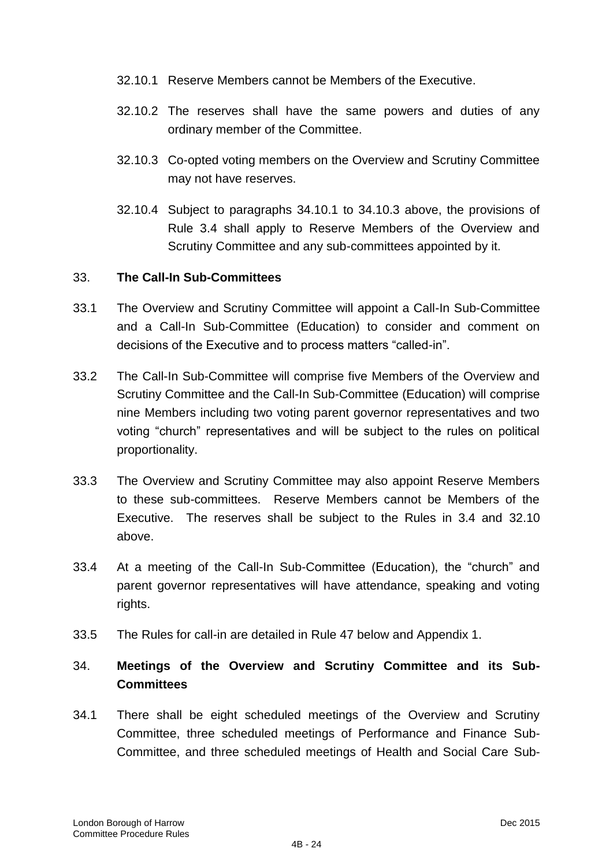- 32.10.1 Reserve Members cannot be Members of the Executive.
- 32.10.2 The reserves shall have the same powers and duties of any ordinary member of the Committee.
- 32.10.3 Co-opted voting members on the Overview and Scrutiny Committee may not have reserves.
- 32.10.4 Subject to paragraphs 34.10.1 to 34.10.3 above, the provisions of Rule 3.4 shall apply to Reserve Members of the Overview and Scrutiny Committee and any sub-committees appointed by it.

## 33. **The Call-In Sub-Committees**

- 33.1 The Overview and Scrutiny Committee will appoint a Call-In Sub-Committee and a Call-In Sub-Committee (Education) to consider and comment on decisions of the Executive and to process matters "called-in".
- 33.2 The Call-In Sub-Committee will comprise five Members of the Overview and Scrutiny Committee and the Call-In Sub-Committee (Education) will comprise nine Members including two voting parent governor representatives and two voting "church" representatives and will be subject to the rules on political proportionality.
- 33.3 The Overview and Scrutiny Committee may also appoint Reserve Members to these sub-committees. Reserve Members cannot be Members of the Executive. The reserves shall be subject to the Rules in 3.4 and 32.10 above.
- 33.4 At a meeting of the Call-In Sub-Committee (Education), the "church" and parent governor representatives will have attendance, speaking and voting rights.
- 33.5 The Rules for call-in are detailed in Rule 47 below and Appendix 1.

# 34. **Meetings of the Overview and Scrutiny Committee and its Sub-Committees**

34.1 There shall be eight scheduled meetings of the Overview and Scrutiny Committee, three scheduled meetings of Performance and Finance Sub-Committee, and three scheduled meetings of Health and Social Care Sub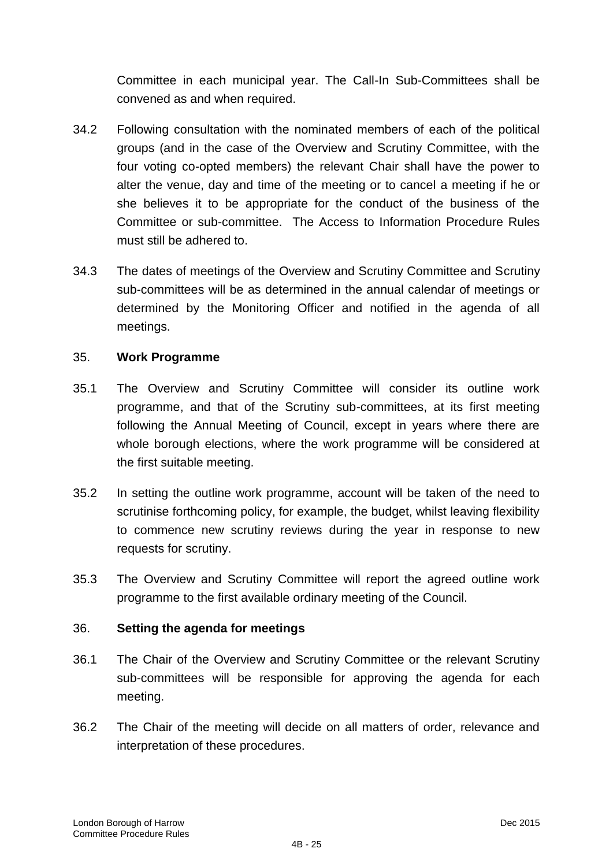Committee in each municipal year. The Call-In Sub-Committees shall be convened as and when required.

- 34.2 Following consultation with the nominated members of each of the political groups (and in the case of the Overview and Scrutiny Committee, with the four voting co-opted members) the relevant Chair shall have the power to alter the venue, day and time of the meeting or to cancel a meeting if he or she believes it to be appropriate for the conduct of the business of the Committee or sub-committee. The Access to Information Procedure Rules must still be adhered to.
- 34.3 The dates of meetings of the Overview and Scrutiny Committee and Scrutiny sub-committees will be as determined in the annual calendar of meetings or determined by the Monitoring Officer and notified in the agenda of all meetings.

## 35. **Work Programme**

- 35.1 The Overview and Scrutiny Committee will consider its outline work programme, and that of the Scrutiny sub-committees, at its first meeting following the Annual Meeting of Council, except in years where there are whole borough elections, where the work programme will be considered at the first suitable meeting.
- 35.2 In setting the outline work programme, account will be taken of the need to scrutinise forthcoming policy, for example, the budget, whilst leaving flexibility to commence new scrutiny reviews during the year in response to new requests for scrutiny.
- 35.3 The Overview and Scrutiny Committee will report the agreed outline work programme to the first available ordinary meeting of the Council.

## 36. **Setting the agenda for meetings**

- 36.1 The Chair of the Overview and Scrutiny Committee or the relevant Scrutiny sub-committees will be responsible for approving the agenda for each meeting.
- 36.2 The Chair of the meeting will decide on all matters of order, relevance and interpretation of these procedures.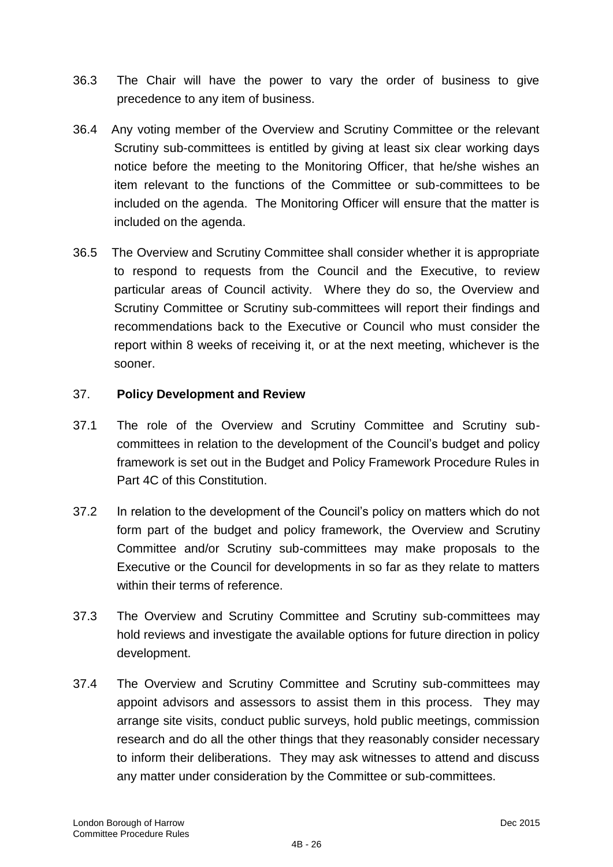- 36.3 The Chair will have the power to vary the order of business to give precedence to any item of business.
- 36.4 Any voting member of the Overview and Scrutiny Committee or the relevant Scrutiny sub-committees is entitled by giving at least six clear working days notice before the meeting to the Monitoring Officer, that he/she wishes an item relevant to the functions of the Committee or sub-committees to be included on the agenda. The Monitoring Officer will ensure that the matter is included on the agenda.
- 36.5 The Overview and Scrutiny Committee shall consider whether it is appropriate to respond to requests from the Council and the Executive, to review particular areas of Council activity. Where they do so, the Overview and Scrutiny Committee or Scrutiny sub-committees will report their findings and recommendations back to the Executive or Council who must consider the report within 8 weeks of receiving it, or at the next meeting, whichever is the sooner.

# 37. **Policy Development and Review**

- 37.1 The role of the Overview and Scrutiny Committee and Scrutiny subcommittees in relation to the development of the Council"s budget and policy framework is set out in the Budget and Policy Framework Procedure Rules in Part 4C of this Constitution.
- 37.2 In relation to the development of the Council"s policy on matters which do not form part of the budget and policy framework, the Overview and Scrutiny Committee and/or Scrutiny sub-committees may make proposals to the Executive or the Council for developments in so far as they relate to matters within their terms of reference.
- 37.3 The Overview and Scrutiny Committee and Scrutiny sub-committees may hold reviews and investigate the available options for future direction in policy development.
- 37.4 The Overview and Scrutiny Committee and Scrutiny sub-committees may appoint advisors and assessors to assist them in this process. They may arrange site visits, conduct public surveys, hold public meetings, commission research and do all the other things that they reasonably consider necessary to inform their deliberations. They may ask witnesses to attend and discuss any matter under consideration by the Committee or sub-committees.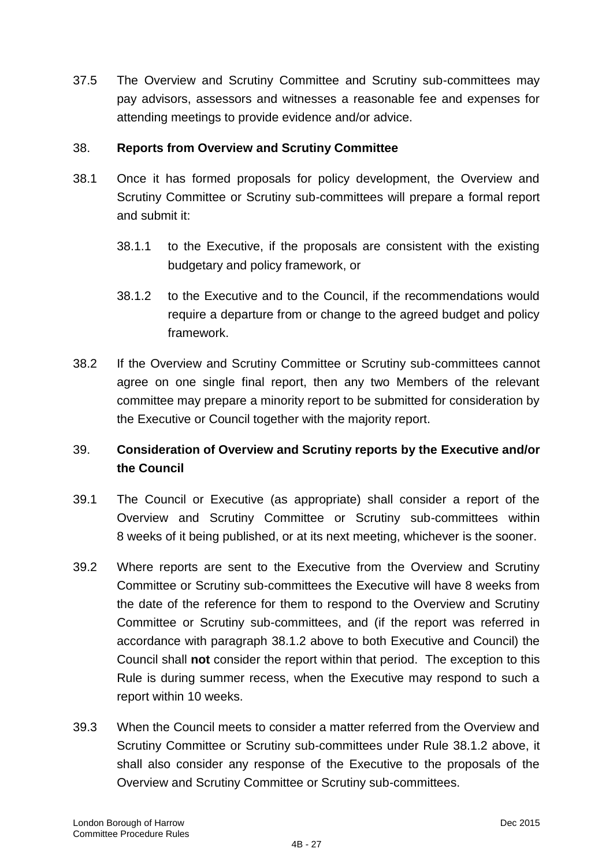37.5 The Overview and Scrutiny Committee and Scrutiny sub-committees may pay advisors, assessors and witnesses a reasonable fee and expenses for attending meetings to provide evidence and/or advice.

## 38. **Reports from Overview and Scrutiny Committee**

- 38.1 Once it has formed proposals for policy development, the Overview and Scrutiny Committee or Scrutiny sub-committees will prepare a formal report and submit it:
	- 38.1.1 to the Executive, if the proposals are consistent with the existing budgetary and policy framework, or
	- 38.1.2 to the Executive and to the Council, if the recommendations would require a departure from or change to the agreed budget and policy framework.
- 38.2 If the Overview and Scrutiny Committee or Scrutiny sub-committees cannot agree on one single final report, then any two Members of the relevant committee may prepare a minority report to be submitted for consideration by the Executive or Council together with the majority report.

# 39. **Consideration of Overview and Scrutiny reports by the Executive and/or the Council**

- 39.1 The Council or Executive (as appropriate) shall consider a report of the Overview and Scrutiny Committee or Scrutiny sub-committees within 8 weeks of it being published, or at its next meeting, whichever is the sooner.
- 39.2 Where reports are sent to the Executive from the Overview and Scrutiny Committee or Scrutiny sub-committees the Executive will have 8 weeks from the date of the reference for them to respond to the Overview and Scrutiny Committee or Scrutiny sub-committees, and (if the report was referred in accordance with paragraph 38.1.2 above to both Executive and Council) the Council shall **not** consider the report within that period. The exception to this Rule is during summer recess, when the Executive may respond to such a report within 10 weeks.
- 39.3 When the Council meets to consider a matter referred from the Overview and Scrutiny Committee or Scrutiny sub-committees under Rule 38.1.2 above, it shall also consider any response of the Executive to the proposals of the Overview and Scrutiny Committee or Scrutiny sub-committees.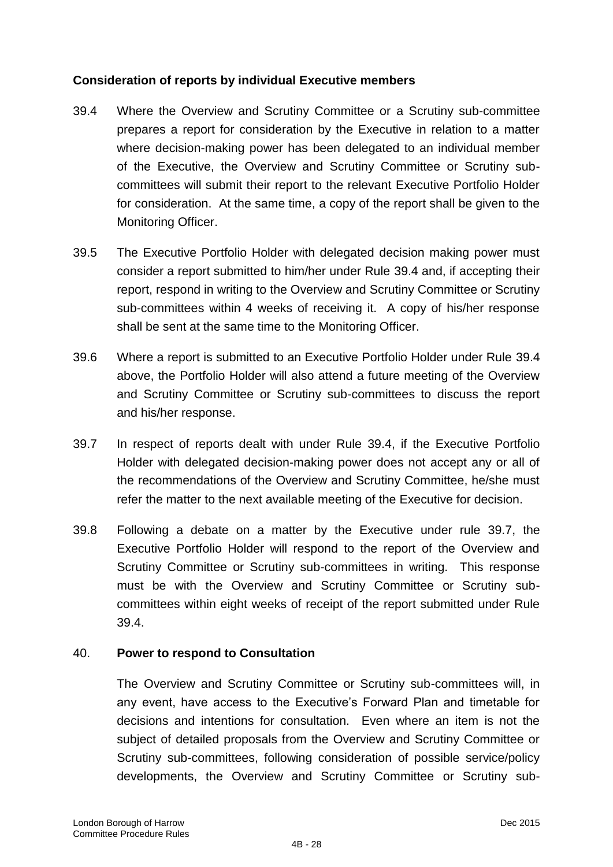# **Consideration of reports by individual Executive members**

- 39.4 Where the Overview and Scrutiny Committee or a Scrutiny sub-committee prepares a report for consideration by the Executive in relation to a matter where decision-making power has been delegated to an individual member of the Executive, the Overview and Scrutiny Committee or Scrutiny subcommittees will submit their report to the relevant Executive Portfolio Holder for consideration. At the same time, a copy of the report shall be given to the Monitoring Officer.
- 39.5 The Executive Portfolio Holder with delegated decision making power must consider a report submitted to him/her under Rule 39.4 and, if accepting their report, respond in writing to the Overview and Scrutiny Committee or Scrutiny sub-committees within 4 weeks of receiving it. A copy of his/her response shall be sent at the same time to the Monitoring Officer.
- 39.6 Where a report is submitted to an Executive Portfolio Holder under Rule 39.4 above, the Portfolio Holder will also attend a future meeting of the Overview and Scrutiny Committee or Scrutiny sub-committees to discuss the report and his/her response.
- 39.7 In respect of reports dealt with under Rule 39.4, if the Executive Portfolio Holder with delegated decision-making power does not accept any or all of the recommendations of the Overview and Scrutiny Committee, he/she must refer the matter to the next available meeting of the Executive for decision.
- 39.8 Following a debate on a matter by the Executive under rule 39.7, the Executive Portfolio Holder will respond to the report of the Overview and Scrutiny Committee or Scrutiny sub-committees in writing. This response must be with the Overview and Scrutiny Committee or Scrutiny subcommittees within eight weeks of receipt of the report submitted under Rule 39.4.

# 40. **Power to respond to Consultation**

The Overview and Scrutiny Committee or Scrutiny sub-committees will, in any event, have access to the Executive's Forward Plan and timetable for decisions and intentions for consultation. Even where an item is not the subject of detailed proposals from the Overview and Scrutiny Committee or Scrutiny sub-committees, following consideration of possible service/policy developments, the Overview and Scrutiny Committee or Scrutiny sub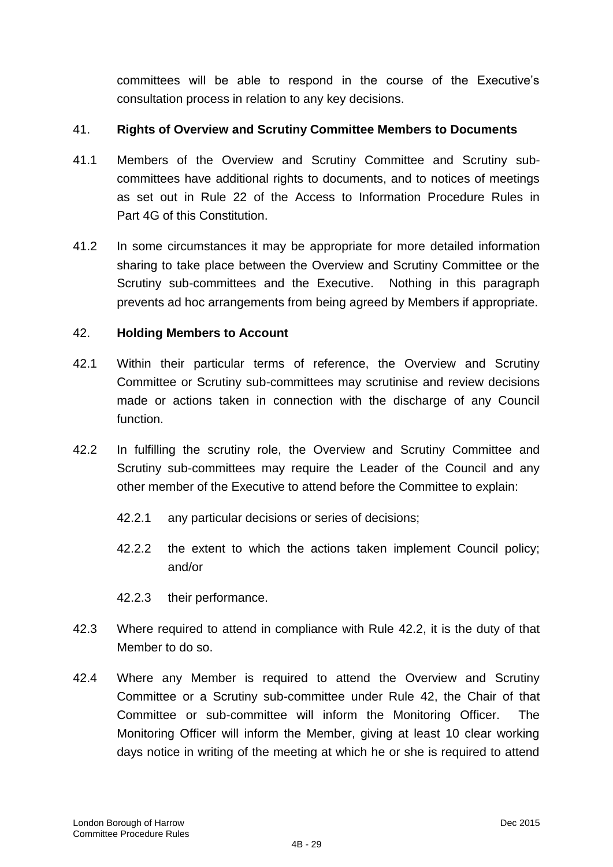committees will be able to respond in the course of the Executive"s consultation process in relation to any key decisions.

# 41. **Rights of Overview and Scrutiny Committee Members to Documents**

- 41.1 Members of the Overview and Scrutiny Committee and Scrutiny subcommittees have additional rights to documents, and to notices of meetings as set out in Rule 22 of the Access to Information Procedure Rules in Part 4G of this Constitution.
- 41.2 In some circumstances it may be appropriate for more detailed information sharing to take place between the Overview and Scrutiny Committee or the Scrutiny sub-committees and the Executive. Nothing in this paragraph prevents ad hoc arrangements from being agreed by Members if appropriate.

## 42. **Holding Members to Account**

- 42.1 Within their particular terms of reference, the Overview and Scrutiny Committee or Scrutiny sub-committees may scrutinise and review decisions made or actions taken in connection with the discharge of any Council function.
- 42.2 In fulfilling the scrutiny role, the Overview and Scrutiny Committee and Scrutiny sub-committees may require the Leader of the Council and any other member of the Executive to attend before the Committee to explain:
	- 42.2.1 any particular decisions or series of decisions;
	- 42.2.2 the extent to which the actions taken implement Council policy; and/or
	- 42.2.3 their performance.
- 42.3 Where required to attend in compliance with Rule 42.2, it is the duty of that Member to do so.
- 42.4 Where any Member is required to attend the Overview and Scrutiny Committee or a Scrutiny sub-committee under Rule 42, the Chair of that Committee or sub-committee will inform the Monitoring Officer. The Monitoring Officer will inform the Member, giving at least 10 clear working days notice in writing of the meeting at which he or she is required to attend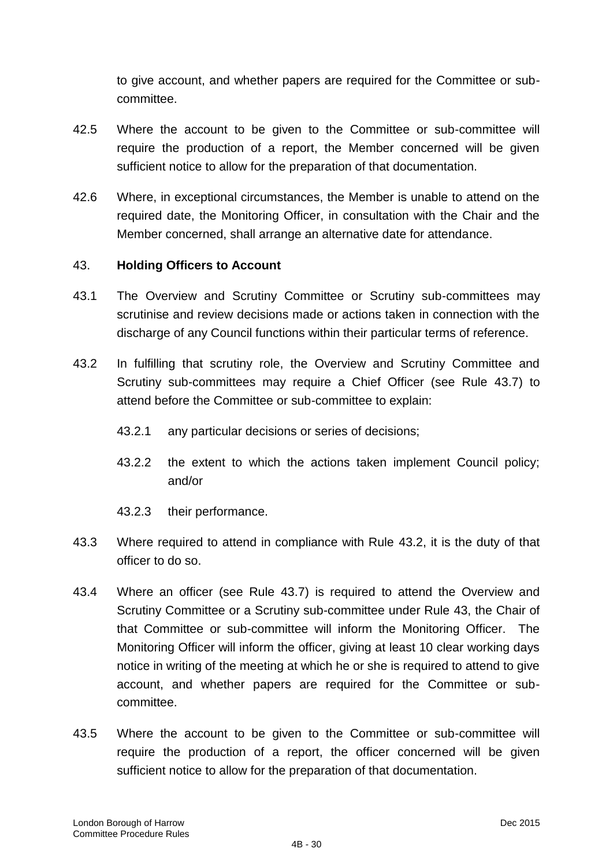to give account, and whether papers are required for the Committee or subcommittee.

- 42.5 Where the account to be given to the Committee or sub-committee will require the production of a report, the Member concerned will be given sufficient notice to allow for the preparation of that documentation.
- 42.6 Where, in exceptional circumstances, the Member is unable to attend on the required date, the Monitoring Officer, in consultation with the Chair and the Member concerned, shall arrange an alternative date for attendance.

## 43. **Holding Officers to Account**

- 43.1 The Overview and Scrutiny Committee or Scrutiny sub-committees may scrutinise and review decisions made or actions taken in connection with the discharge of any Council functions within their particular terms of reference.
- 43.2 In fulfilling that scrutiny role, the Overview and Scrutiny Committee and Scrutiny sub-committees may require a Chief Officer (see Rule 43.7) to attend before the Committee or sub-committee to explain:
	- 43.2.1 any particular decisions or series of decisions;
	- 43.2.2 the extent to which the actions taken implement Council policy; and/or
	- 43.2.3 their performance.
- 43.3 Where required to attend in compliance with Rule 43.2, it is the duty of that officer to do so.
- 43.4 Where an officer (see Rule 43.7) is required to attend the Overview and Scrutiny Committee or a Scrutiny sub-committee under Rule 43, the Chair of that Committee or sub-committee will inform the Monitoring Officer. The Monitoring Officer will inform the officer, giving at least 10 clear working days notice in writing of the meeting at which he or she is required to attend to give account, and whether papers are required for the Committee or subcommittee.
- 43.5 Where the account to be given to the Committee or sub-committee will require the production of a report, the officer concerned will be given sufficient notice to allow for the preparation of that documentation.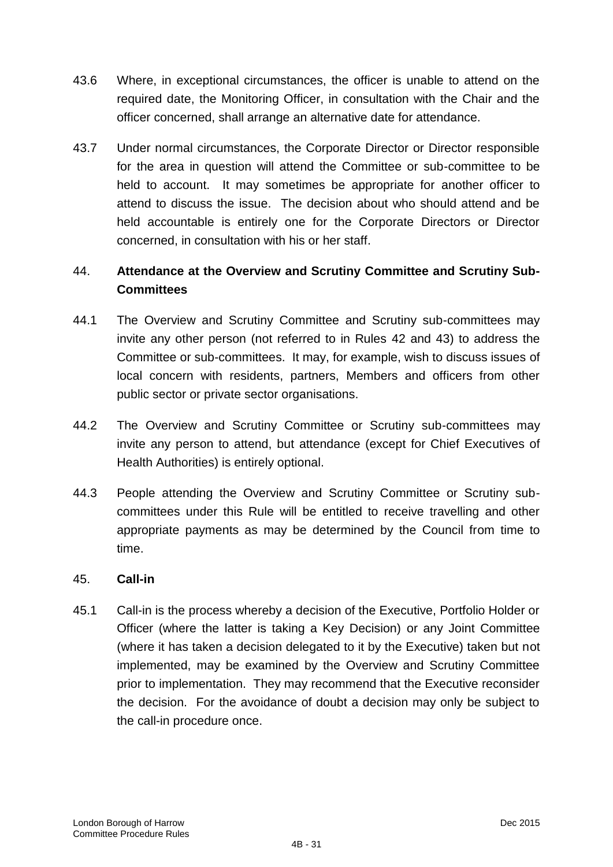- 43.6 Where, in exceptional circumstances, the officer is unable to attend on the required date, the Monitoring Officer, in consultation with the Chair and the officer concerned, shall arrange an alternative date for attendance.
- 43.7 Under normal circumstances, the Corporate Director or Director responsible for the area in question will attend the Committee or sub-committee to be held to account. It may sometimes be appropriate for another officer to attend to discuss the issue. The decision about who should attend and be held accountable is entirely one for the Corporate Directors or Director concerned, in consultation with his or her staff.

# 44. **Attendance at the Overview and Scrutiny Committee and Scrutiny Sub-Committees**

- 44.1 The Overview and Scrutiny Committee and Scrutiny sub-committees may invite any other person (not referred to in Rules 42 and 43) to address the Committee or sub-committees. It may, for example, wish to discuss issues of local concern with residents, partners, Members and officers from other public sector or private sector organisations.
- 44.2 The Overview and Scrutiny Committee or Scrutiny sub-committees may invite any person to attend, but attendance (except for Chief Executives of Health Authorities) is entirely optional.
- 44.3 People attending the Overview and Scrutiny Committee or Scrutiny subcommittees under this Rule will be entitled to receive travelling and other appropriate payments as may be determined by the Council from time to time.

# 45. **Call-in**

45.1 Call-in is the process whereby a decision of the Executive, Portfolio Holder or Officer (where the latter is taking a Key Decision) or any Joint Committee (where it has taken a decision delegated to it by the Executive) taken but not implemented, may be examined by the Overview and Scrutiny Committee prior to implementation. They may recommend that the Executive reconsider the decision. For the avoidance of doubt a decision may only be subject to the call-in procedure once.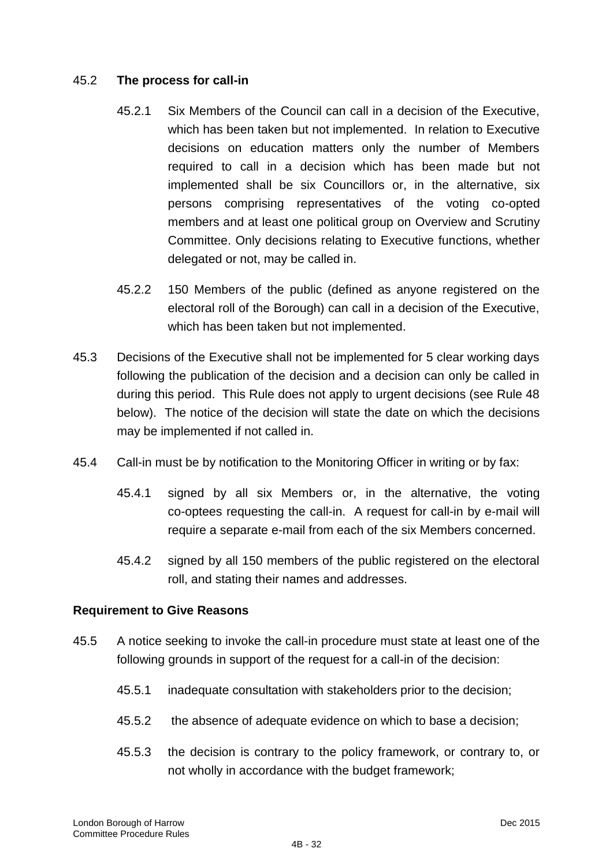# 45.2 **The process for call-in**

- 45.2.1 Six Members of the Council can call in a decision of the Executive, which has been taken but not implemented. In relation to Executive decisions on education matters only the number of Members required to call in a decision which has been made but not implemented shall be six Councillors or, in the alternative, six persons comprising representatives of the voting co-opted members and at least one political group on Overview and Scrutiny Committee. Only decisions relating to Executive functions, whether delegated or not, may be called in.
- 45.2.2 150 Members of the public (defined as anyone registered on the electoral roll of the Borough) can call in a decision of the Executive, which has been taken but not implemented.
- 45.3 Decisions of the Executive shall not be implemented for 5 clear working days following the publication of the decision and a decision can only be called in during this period. This Rule does not apply to urgent decisions (see Rule 48 below). The notice of the decision will state the date on which the decisions may be implemented if not called in.
- 45.4 Call-in must be by notification to the Monitoring Officer in writing or by fax:
	- 45.4.1 signed by all six Members or, in the alternative, the voting co-optees requesting the call-in. A request for call-in by e-mail will require a separate e-mail from each of the six Members concerned.
	- 45.4.2 signed by all 150 members of the public registered on the electoral roll, and stating their names and addresses.

## **Requirement to Give Reasons**

- 45.5 A notice seeking to invoke the call-in procedure must state at least one of the following grounds in support of the request for a call-in of the decision:
	- 45.5.1 inadequate consultation with stakeholders prior to the decision;
	- 45.5.2 the absence of adequate evidence on which to base a decision;
	- 45.5.3 the decision is contrary to the policy framework, or contrary to, or not wholly in accordance with the budget framework;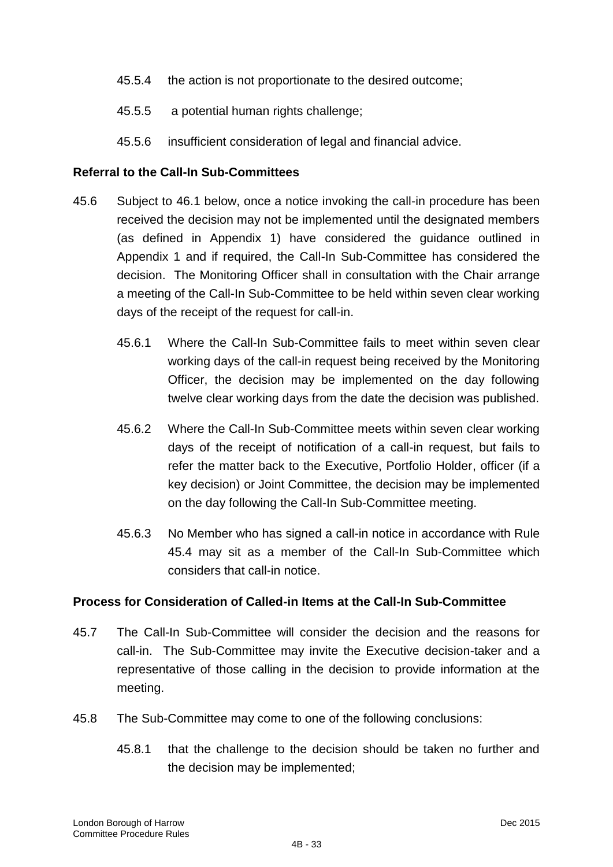- 45.5.4 the action is not proportionate to the desired outcome;
- 45.5.5 a potential human rights challenge;
- 45.5.6 insufficient consideration of legal and financial advice.

## **Referral to the Call-In Sub-Committees**

- 45.6 Subject to 46.1 below, once a notice invoking the call-in procedure has been received the decision may not be implemented until the designated members (as defined in Appendix 1) have considered the guidance outlined in Appendix 1 and if required, the Call-In Sub-Committee has considered the decision. The Monitoring Officer shall in consultation with the Chair arrange a meeting of the Call-In Sub-Committee to be held within seven clear working days of the receipt of the request for call-in.
	- 45.6.1 Where the Call-In Sub-Committee fails to meet within seven clear working days of the call-in request being received by the Monitoring Officer, the decision may be implemented on the day following twelve clear working days from the date the decision was published.
	- 45.6.2 Where the Call-In Sub-Committee meets within seven clear working days of the receipt of notification of a call-in request, but fails to refer the matter back to the Executive, Portfolio Holder, officer (if a key decision) or Joint Committee, the decision may be implemented on the day following the Call-In Sub-Committee meeting.
	- 45.6.3 No Member who has signed a call-in notice in accordance with Rule 45.4 may sit as a member of the Call-In Sub-Committee which considers that call-in notice.

## **Process for Consideration of Called-in Items at the Call-In Sub-Committee**

- 45.7 The Call-In Sub-Committee will consider the decision and the reasons for call-in. The Sub-Committee may invite the Executive decision-taker and a representative of those calling in the decision to provide information at the meeting.
- 45.8 The Sub-Committee may come to one of the following conclusions:
	- 45.8.1 that the challenge to the decision should be taken no further and the decision may be implemented;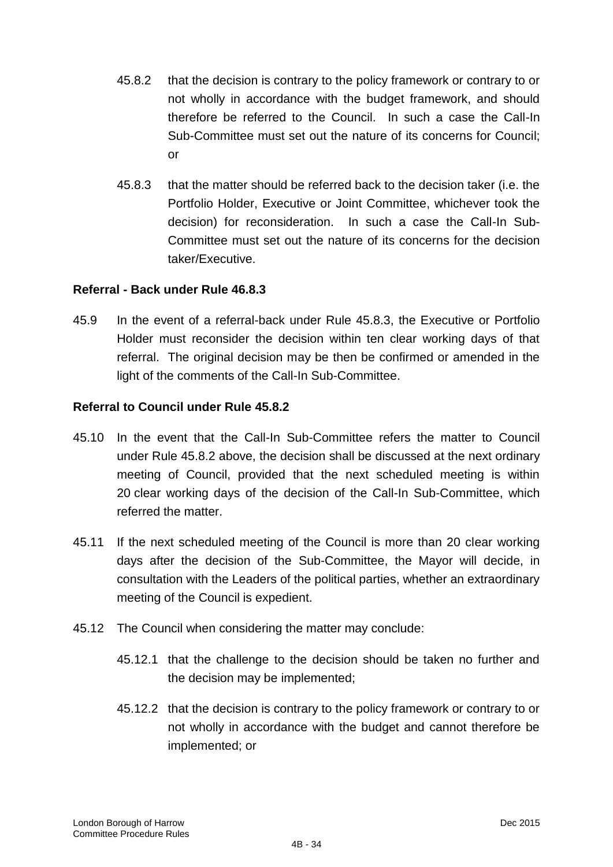- 45.8.2 that the decision is contrary to the policy framework or contrary to or not wholly in accordance with the budget framework, and should therefore be referred to the Council. In such a case the Call-In Sub-Committee must set out the nature of its concerns for Council; or
- 45.8.3 that the matter should be referred back to the decision taker (i.e. the Portfolio Holder, Executive or Joint Committee, whichever took the decision) for reconsideration. In such a case the Call-In Sub-Committee must set out the nature of its concerns for the decision taker/Executive.

## **Referral - Back under Rule 46.8.3**

45.9 In the event of a referral-back under Rule 45.8.3, the Executive or Portfolio Holder must reconsider the decision within ten clear working days of that referral. The original decision may be then be confirmed or amended in the light of the comments of the Call-In Sub-Committee.

## **Referral to Council under Rule 45.8.2**

- 45.10 In the event that the Call-In Sub-Committee refers the matter to Council under Rule 45.8.2 above, the decision shall be discussed at the next ordinary meeting of Council, provided that the next scheduled meeting is within 20 clear working days of the decision of the Call-In Sub-Committee, which referred the matter.
- 45.11 If the next scheduled meeting of the Council is more than 20 clear working days after the decision of the Sub-Committee, the Mayor will decide, in consultation with the Leaders of the political parties, whether an extraordinary meeting of the Council is expedient.
- 45.12 The Council when considering the matter may conclude:
	- 45.12.1 that the challenge to the decision should be taken no further and the decision may be implemented;
	- 45.12.2 that the decision is contrary to the policy framework or contrary to or not wholly in accordance with the budget and cannot therefore be implemented; or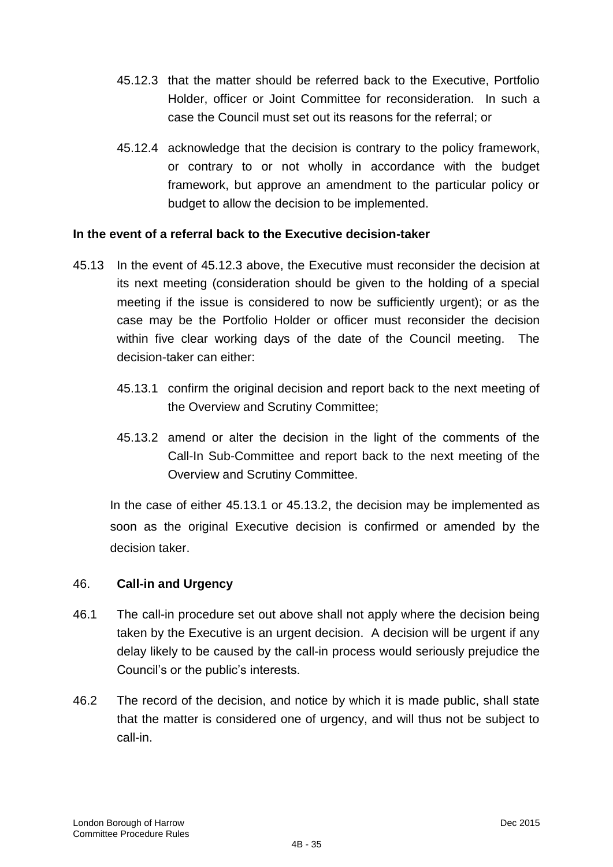- 45.12.3 that the matter should be referred back to the Executive, Portfolio Holder, officer or Joint Committee for reconsideration. In such a case the Council must set out its reasons for the referral; or
- 45.12.4 acknowledge that the decision is contrary to the policy framework, or contrary to or not wholly in accordance with the budget framework, but approve an amendment to the particular policy or budget to allow the decision to be implemented.

## **In the event of a referral back to the Executive decision-taker**

- 45.13 In the event of 45.12.3 above, the Executive must reconsider the decision at its next meeting (consideration should be given to the holding of a special meeting if the issue is considered to now be sufficiently urgent); or as the case may be the Portfolio Holder or officer must reconsider the decision within five clear working days of the date of the Council meeting. The decision-taker can either:
	- 45.13.1 confirm the original decision and report back to the next meeting of the Overview and Scrutiny Committee;
	- 45.13.2 amend or alter the decision in the light of the comments of the Call-In Sub-Committee and report back to the next meeting of the Overview and Scrutiny Committee.

In the case of either 45.13.1 or 45.13.2, the decision may be implemented as soon as the original Executive decision is confirmed or amended by the decision taker.

## 46. **Call-in and Urgency**

- 46.1 The call-in procedure set out above shall not apply where the decision being taken by the Executive is an urgent decision. A decision will be urgent if any delay likely to be caused by the call-in process would seriously prejudice the Council"s or the public"s interests.
- 46.2 The record of the decision, and notice by which it is made public, shall state that the matter is considered one of urgency, and will thus not be subject to call-in.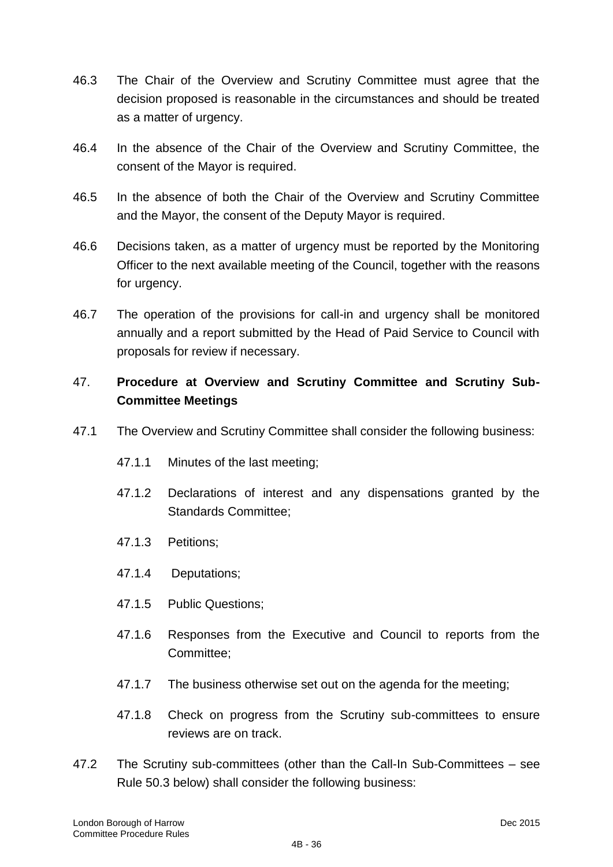- 46.3 The Chair of the Overview and Scrutiny Committee must agree that the decision proposed is reasonable in the circumstances and should be treated as a matter of urgency.
- 46.4 In the absence of the Chair of the Overview and Scrutiny Committee, the consent of the Mayor is required.
- 46.5 In the absence of both the Chair of the Overview and Scrutiny Committee and the Mayor, the consent of the Deputy Mayor is required.
- 46.6 Decisions taken, as a matter of urgency must be reported by the Monitoring Officer to the next available meeting of the Council, together with the reasons for urgency.
- 46.7 The operation of the provisions for call-in and urgency shall be monitored annually and a report submitted by the Head of Paid Service to Council with proposals for review if necessary.

# 47. **Procedure at Overview and Scrutiny Committee and Scrutiny Sub-Committee Meetings**

- 47.1 The Overview and Scrutiny Committee shall consider the following business:
	- 47.1.1 Minutes of the last meeting;
	- 47.1.2 Declarations of interest and any dispensations granted by the Standards Committee;
	- 47.1.3 Petitions;
	- 47.1.4 Deputations;
	- 47.1.5 Public Questions;
	- 47.1.6 Responses from the Executive and Council to reports from the Committee;
	- 47.1.7 The business otherwise set out on the agenda for the meeting;
	- 47.1.8 Check on progress from the Scrutiny sub-committees to ensure reviews are on track.
- 47.2 The Scrutiny sub-committees (other than the Call-In Sub-Committees see Rule 50.3 below) shall consider the following business: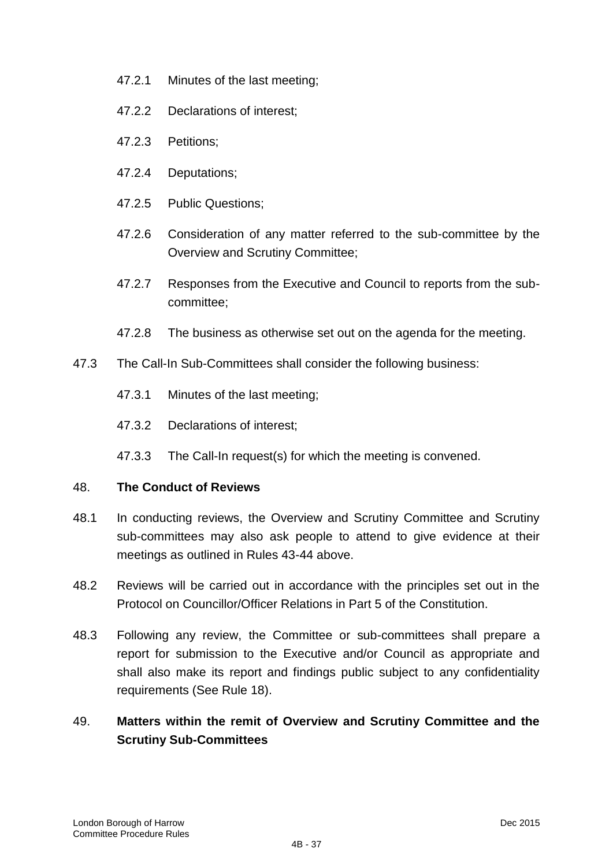- 47.2.1 Minutes of the last meeting;
- 47.2.2 Declarations of interest;
- 47.2.3 Petitions;
- 47.2.4 Deputations;
- 47.2.5 Public Questions;
- 47.2.6 Consideration of any matter referred to the sub-committee by the Overview and Scrutiny Committee;
- 47.2.7 Responses from the Executive and Council to reports from the subcommittee;
- 47.2.8 The business as otherwise set out on the agenda for the meeting.
- 47.3 The Call-In Sub-Committees shall consider the following business:
	- 47.3.1 Minutes of the last meeting;
	- 47.3.2 Declarations of interest;
	- 47.3.3 The Call-In request(s) for which the meeting is convened.

## 48. **The Conduct of Reviews**

- 48.1 In conducting reviews, the Overview and Scrutiny Committee and Scrutiny sub-committees may also ask people to attend to give evidence at their meetings as outlined in Rules 43-44 above.
- 48.2 Reviews will be carried out in accordance with the principles set out in the Protocol on Councillor/Officer Relations in Part 5 of the Constitution.
- 48.3 Following any review, the Committee or sub-committees shall prepare a report for submission to the Executive and/or Council as appropriate and shall also make its report and findings public subject to any confidentiality requirements (See Rule 18).

# 49. **Matters within the remit of Overview and Scrutiny Committee and the Scrutiny Sub-Committees**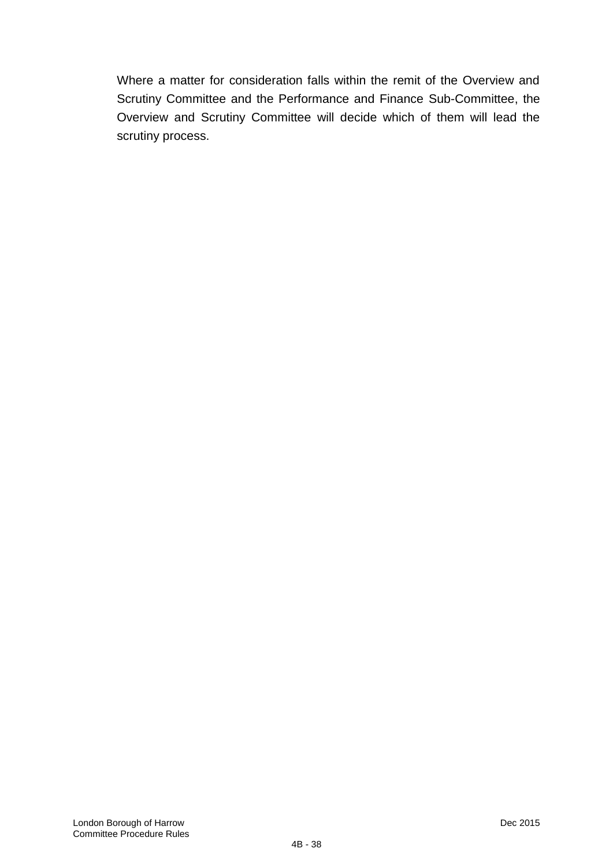Where a matter for consideration falls within the remit of the Overview and Scrutiny Committee and the Performance and Finance Sub-Committee, the Overview and Scrutiny Committee will decide which of them will lead the scrutiny process.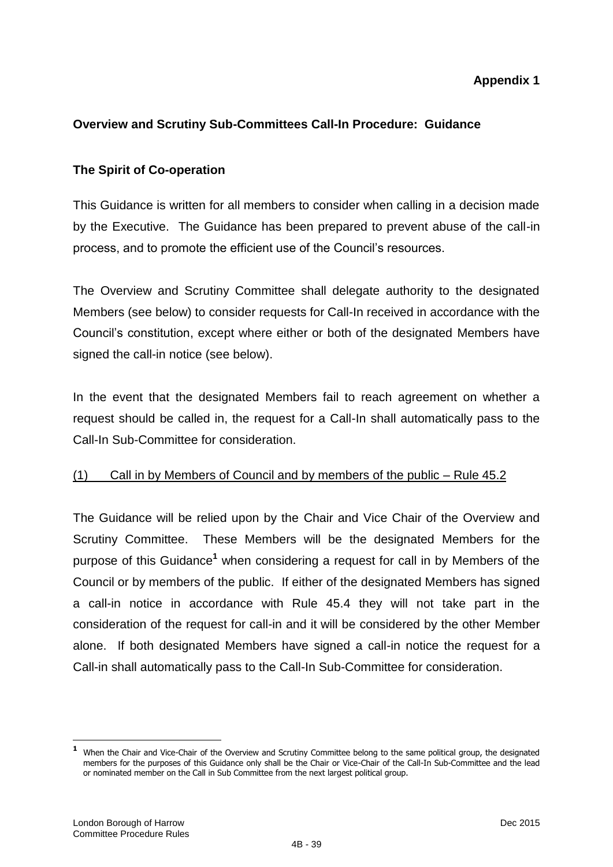# **Appendix 1**

# **Overview and Scrutiny Sub-Committees Call-In Procedure: Guidance**

# **The Spirit of Co-operation**

This Guidance is written for all members to consider when calling in a decision made by the Executive. The Guidance has been prepared to prevent abuse of the call-in process, and to promote the efficient use of the Council"s resources.

The Overview and Scrutiny Committee shall delegate authority to the designated Members (see below) to consider requests for Call-In received in accordance with the Council"s constitution, except where either or both of the designated Members have signed the call-in notice (see below).

In the event that the designated Members fail to reach agreement on whether a request should be called in, the request for a Call-In shall automatically pass to the Call-In Sub-Committee for consideration.

## (1) Call in by Members of Council and by members of the public – Rule 45.2

The Guidance will be relied upon by the Chair and Vice Chair of the Overview and Scrutiny Committee. These Members will be the designated Members for the purpose of this Guidance**<sup>1</sup>** when considering a request for call in by Members of the Council or by members of the public. If either of the designated Members has signed a call-in notice in accordance with Rule 45.4 they will not take part in the consideration of the request for call-in and it will be considered by the other Member alone. If both designated Members have signed a call-in notice the request for a Call-in shall automatically pass to the Call-In Sub-Committee for consideration.

 **1** When the Chair and Vice-Chair of the Overview and Scrutiny Committee belong to the same political group, the designated members for the purposes of this Guidance only shall be the Chair or Vice-Chair of the Call-In Sub-Committee and the lead or nominated member on the Call in Sub Committee from the next largest political group.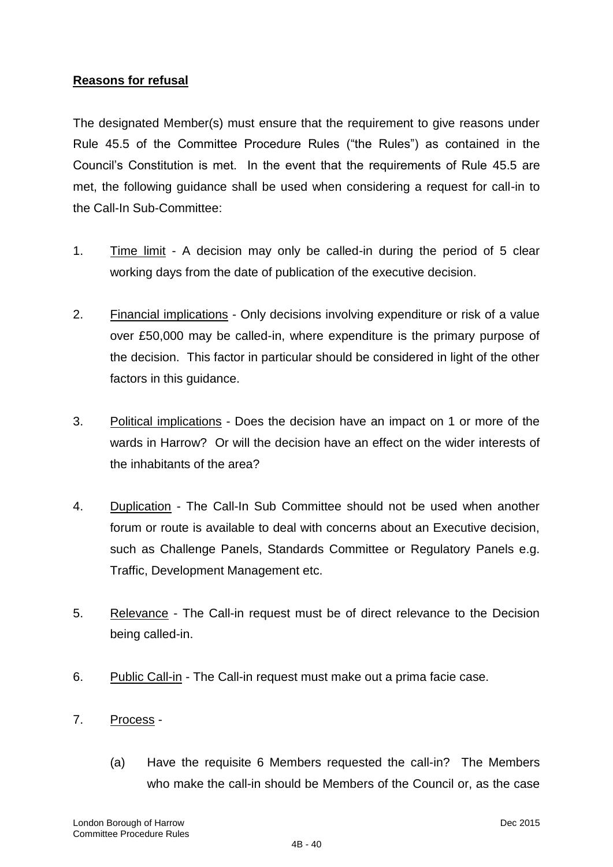# **Reasons for refusal**

The designated Member(s) must ensure that the requirement to give reasons under Rule 45.5 of the Committee Procedure Rules ("the Rules") as contained in the Council"s Constitution is met. In the event that the requirements of Rule 45.5 are met, the following guidance shall be used when considering a request for call-in to the Call-In Sub-Committee:

- 1. Time limit A decision may only be called-in during the period of 5 clear working days from the date of publication of the executive decision.
- 2. Financial implications Only decisions involving expenditure or risk of a value over £50,000 may be called-in, where expenditure is the primary purpose of the decision. This factor in particular should be considered in light of the other factors in this guidance.
- 3. Political implications Does the decision have an impact on 1 or more of the wards in Harrow? Or will the decision have an effect on the wider interests of the inhabitants of the area?
- 4. Duplication The Call-In Sub Committee should not be used when another forum or route is available to deal with concerns about an Executive decision, such as Challenge Panels, Standards Committee or Regulatory Panels e.g. Traffic, Development Management etc.
- 5. Relevance The Call-in request must be of direct relevance to the Decision being called-in.
- 6. Public Call-in The Call-in request must make out a prima facie case.
- 7. Process
	- (a) Have the requisite 6 Members requested the call-in? The Members who make the call-in should be Members of the Council or, as the case